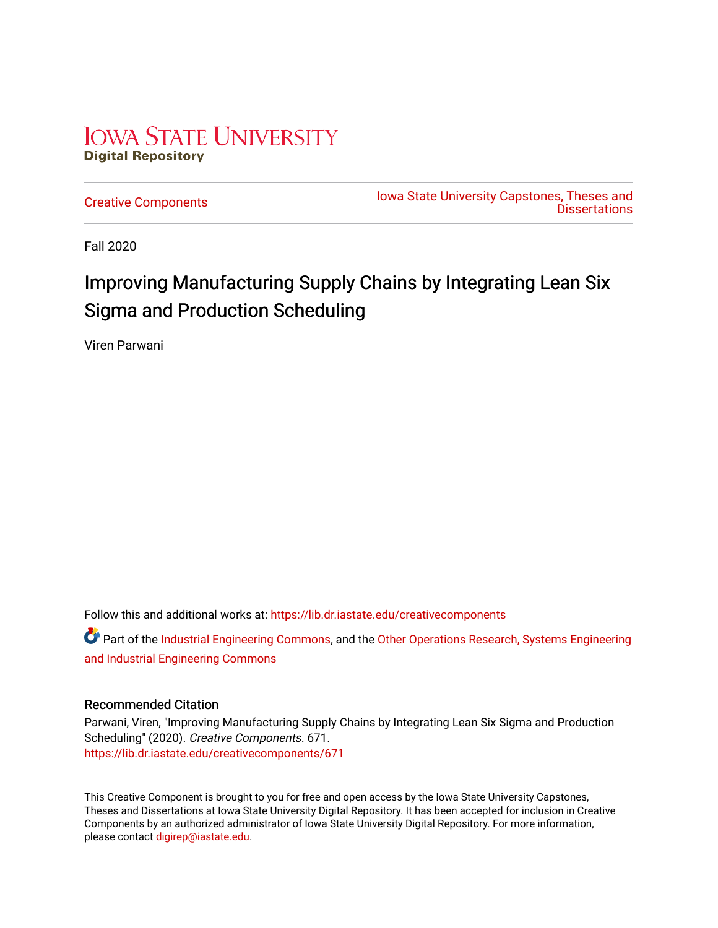## **IOWA STATE UNIVERSITY Digital Repository**

[Creative Components](https://lib.dr.iastate.edu/creativecomponents) [Iowa State University Capstones, Theses and](https://lib.dr.iastate.edu/theses)  **Dissertations** 

Fall 2020

## Improving Manufacturing Supply Chains by Integrating Lean Six Sigma and Production Scheduling

Viren Parwani

Follow this and additional works at: [https://lib.dr.iastate.edu/creativecomponents](https://lib.dr.iastate.edu/creativecomponents?utm_source=lib.dr.iastate.edu%2Fcreativecomponents%2F671&utm_medium=PDF&utm_campaign=PDFCoverPages) 

**C** Part of the [Industrial Engineering Commons](http://network.bepress.com/hgg/discipline/307?utm_source=lib.dr.iastate.edu%2Fcreativecomponents%2F671&utm_medium=PDF&utm_campaign=PDFCoverPages), and the Other Operations Research, Systems Engineering [and Industrial Engineering Commons](http://network.bepress.com/hgg/discipline/310?utm_source=lib.dr.iastate.edu%2Fcreativecomponents%2F671&utm_medium=PDF&utm_campaign=PDFCoverPages) 

#### Recommended Citation

Parwani, Viren, "Improving Manufacturing Supply Chains by Integrating Lean Six Sigma and Production Scheduling" (2020). Creative Components. 671. [https://lib.dr.iastate.edu/creativecomponents/671](https://lib.dr.iastate.edu/creativecomponents/671?utm_source=lib.dr.iastate.edu%2Fcreativecomponents%2F671&utm_medium=PDF&utm_campaign=PDFCoverPages) 

This Creative Component is brought to you for free and open access by the Iowa State University Capstones, Theses and Dissertations at Iowa State University Digital Repository. It has been accepted for inclusion in Creative Components by an authorized administrator of Iowa State University Digital Repository. For more information, please contact [digirep@iastate.edu.](mailto:digirep@iastate.edu)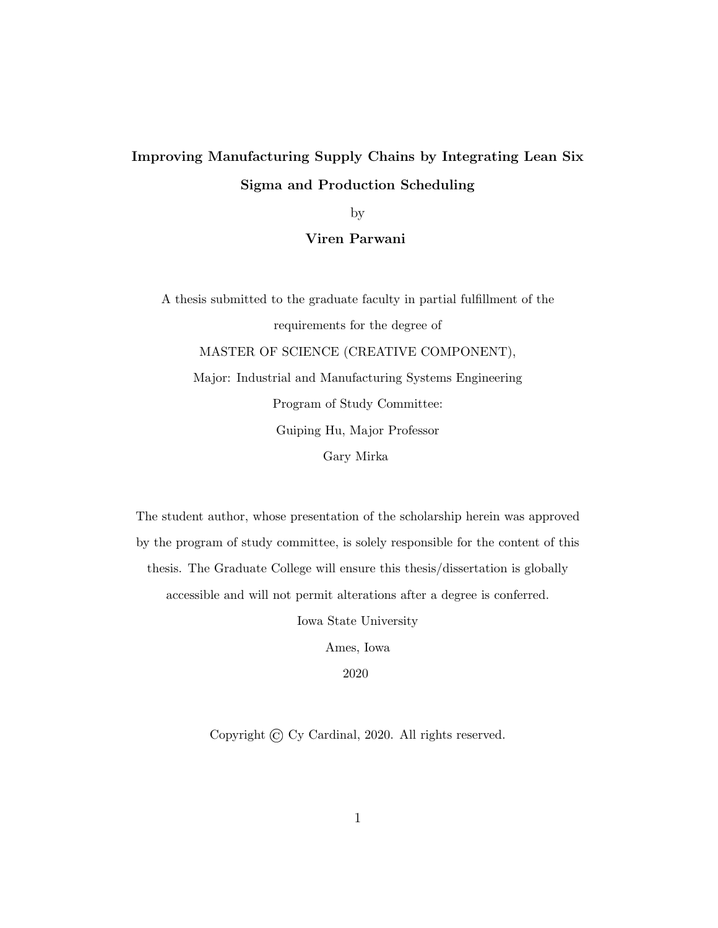## Improving Manufacturing Supply Chains by Integrating Lean Six Sigma and Production Scheduling

by

Viren Parwani

A thesis submitted to the graduate faculty in partial fulfillment of the requirements for the degree of MASTER OF SCIENCE (CREATIVE COMPONENT), Major: Industrial and Manufacturing Systems Engineering Program of Study Committee: Guiping Hu, Major Professor Gary Mirka

The student author, whose presentation of the scholarship herein was approved by the program of study committee, is solely responsible for the content of this thesis. The Graduate College will ensure this thesis/dissertation is globally accessible and will not permit alterations after a degree is conferred.

Iowa State University

Ames, Iowa

2020

Copyright © Cy Cardinal, 2020. All rights reserved.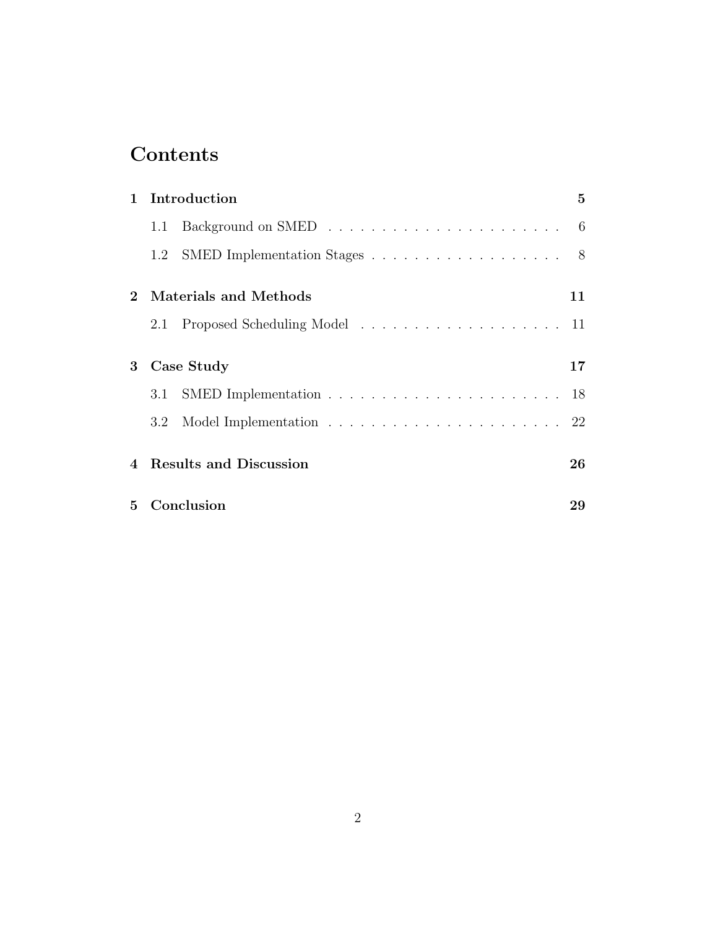## Contents

| $\mathbf{1}$   |     | Introduction                     | 5  |
|----------------|-----|----------------------------------|----|
|                | 1.1 |                                  |    |
|                |     | 1.2 SMED Implementation Stages 8 |    |
| $2^{\circ}$    |     | Materials and Methods            | 11 |
|                |     |                                  |    |
| 3              |     | Case Study                       | 17 |
|                | 3.1 |                                  |    |
|                |     |                                  |    |
| $\overline{4}$ |     | <b>Results and Discussion</b>    | 26 |
| $5^{\circ}$    |     | Conclusion                       | 29 |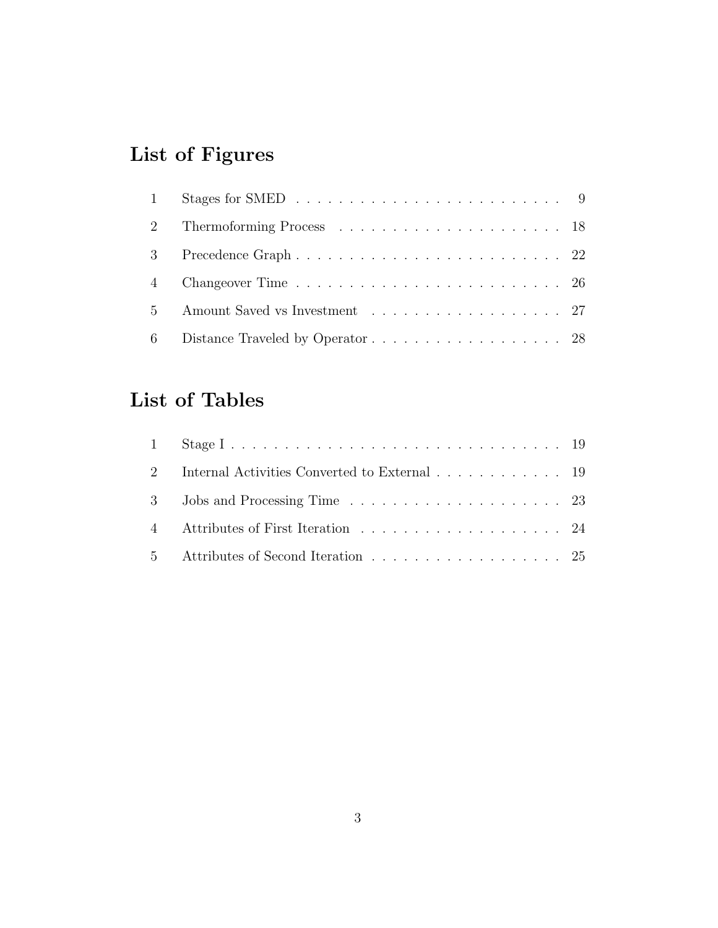# List of Figures

| 5 Amount Saved vs Investment 27 |  |
|---------------------------------|--|
|                                 |  |

## List of Tables

| 2 Internal Activities Converted to External 19 |  |
|------------------------------------------------|--|
|                                                |  |
|                                                |  |
| 5 Attributes of Second Iteration 25            |  |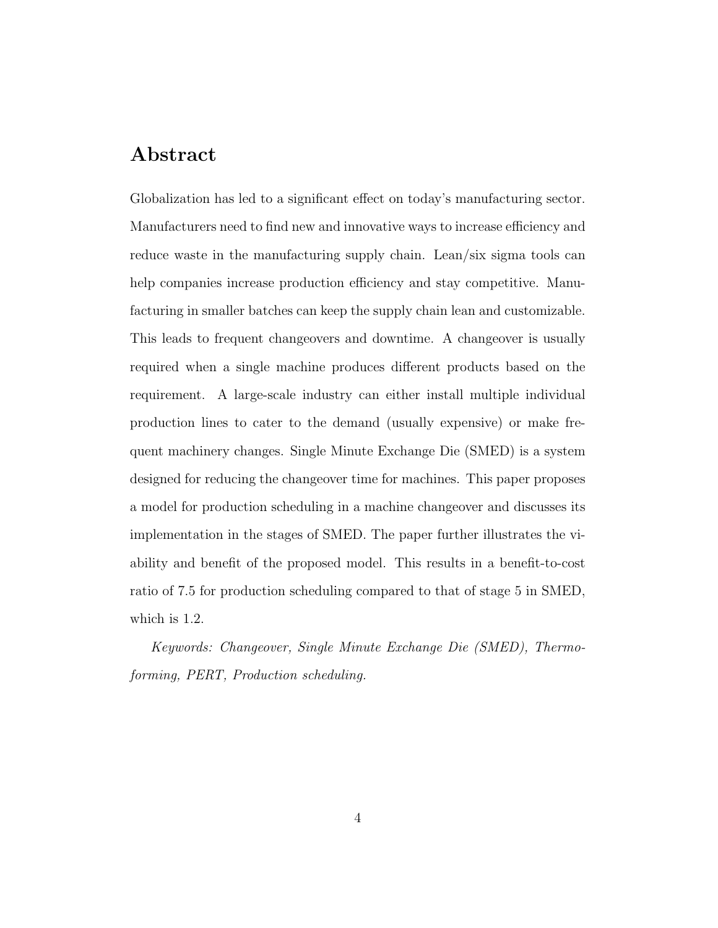### Abstract

Globalization has led to a significant effect on today's manufacturing sector. Manufacturers need to find new and innovative ways to increase efficiency and reduce waste in the manufacturing supply chain. Lean/six sigma tools can help companies increase production efficiency and stay competitive. Manufacturing in smaller batches can keep the supply chain lean and customizable. This leads to frequent changeovers and downtime. A changeover is usually required when a single machine produces different products based on the requirement. A large-scale industry can either install multiple individual production lines to cater to the demand (usually expensive) or make frequent machinery changes. Single Minute Exchange Die (SMED) is a system designed for reducing the changeover time for machines. This paper proposes a model for production scheduling in a machine changeover and discusses its implementation in the stages of SMED. The paper further illustrates the viability and benefit of the proposed model. This results in a benefit-to-cost ratio of 7.5 for production scheduling compared to that of stage 5 in SMED, which is 1.2.

Keywords: Changeover, Single Minute Exchange Die (SMED), Thermoforming, PERT, Production scheduling.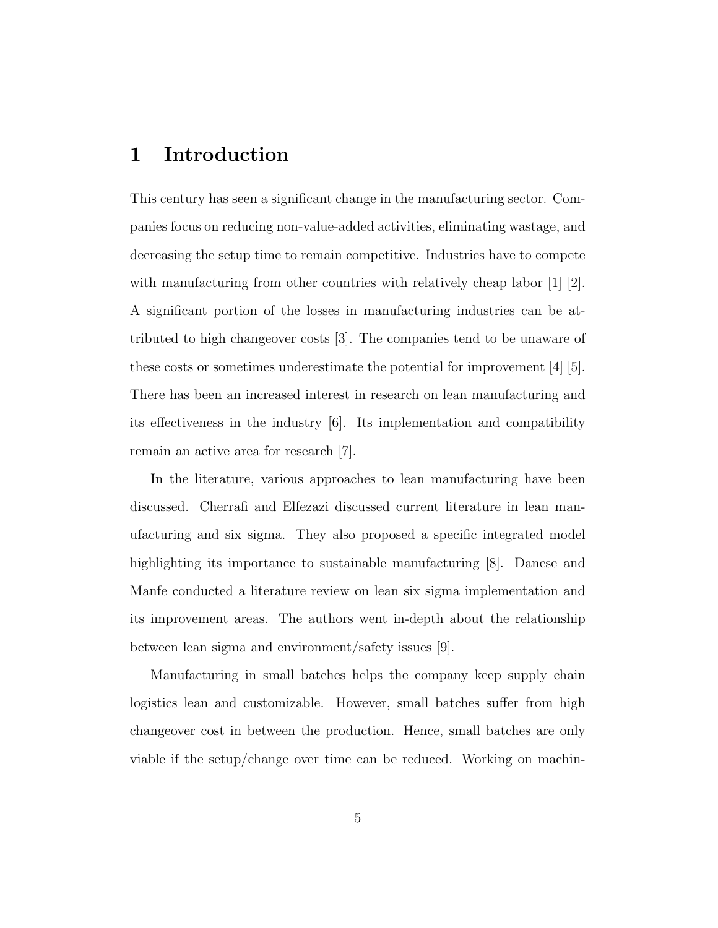## 1 Introduction

This century has seen a significant change in the manufacturing sector. Companies focus on reducing non-value-added activities, eliminating wastage, and decreasing the setup time to remain competitive. Industries have to compete with manufacturing from other countries with relatively cheap labor  $\begin{bmatrix} 1 \\ 2 \end{bmatrix}$ . A significant portion of the losses in manufacturing industries can be attributed to high changeover costs [3]. The companies tend to be unaware of these costs or sometimes underestimate the potential for improvement [4] [5]. There has been an increased interest in research on lean manufacturing and its effectiveness in the industry [6]. Its implementation and compatibility remain an active area for research [7].

In the literature, various approaches to lean manufacturing have been discussed. Cherrafi and Elfezazi discussed current literature in lean manufacturing and six sigma. They also proposed a specific integrated model highlighting its importance to sustainable manufacturing [8]. Danese and Manfe conducted a literature review on lean six sigma implementation and its improvement areas. The authors went in-depth about the relationship between lean sigma and environment/safety issues [9].

Manufacturing in small batches helps the company keep supply chain logistics lean and customizable. However, small batches suffer from high changeover cost in between the production. Hence, small batches are only viable if the setup/change over time can be reduced. Working on machin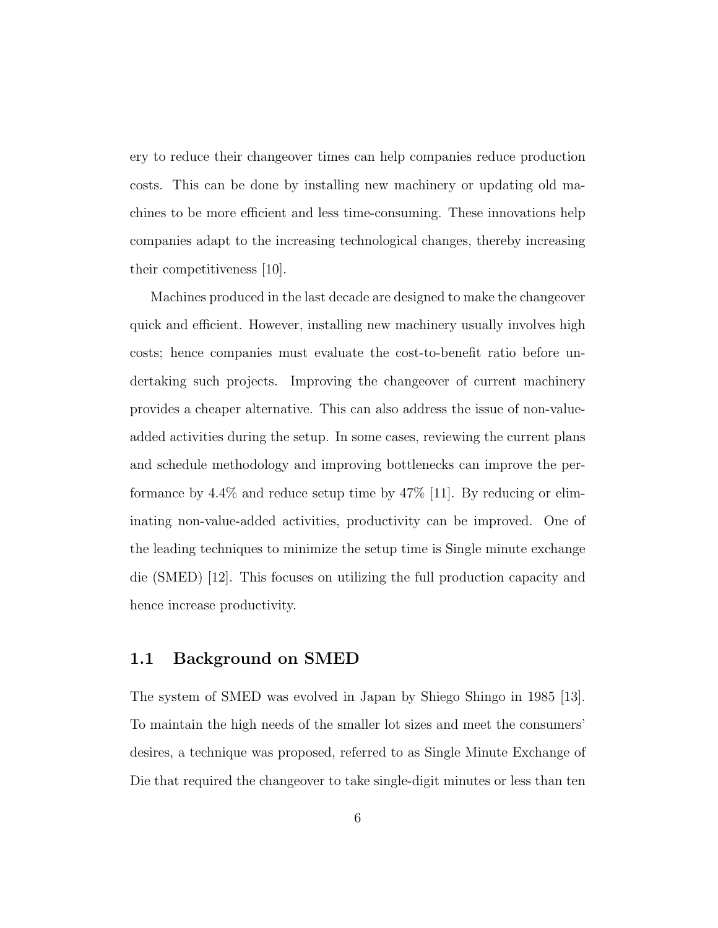ery to reduce their changeover times can help companies reduce production costs. This can be done by installing new machinery or updating old machines to be more efficient and less time-consuming. These innovations help companies adapt to the increasing technological changes, thereby increasing their competitiveness [10].

Machines produced in the last decade are designed to make the changeover quick and efficient. However, installing new machinery usually involves high costs; hence companies must evaluate the cost-to-benefit ratio before undertaking such projects. Improving the changeover of current machinery provides a cheaper alternative. This can also address the issue of non-valueadded activities during the setup. In some cases, reviewing the current plans and schedule methodology and improving bottlenecks can improve the performance by 4.4% and reduce setup time by 47% [11]. By reducing or eliminating non-value-added activities, productivity can be improved. One of the leading techniques to minimize the setup time is Single minute exchange die (SMED) [12]. This focuses on utilizing the full production capacity and hence increase productivity.

#### 1.1 Background on SMED

The system of SMED was evolved in Japan by Shiego Shingo in 1985 [13]. To maintain the high needs of the smaller lot sizes and meet the consumers' desires, a technique was proposed, referred to as Single Minute Exchange of Die that required the changeover to take single-digit minutes or less than ten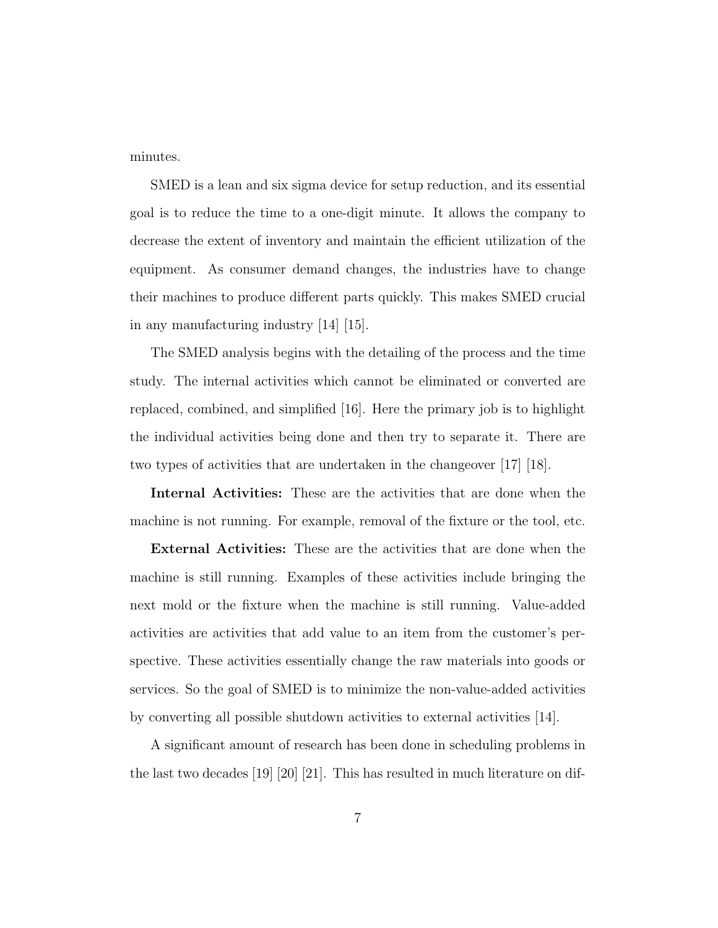minutes.

SMED is a lean and six sigma device for setup reduction, and its essential goal is to reduce the time to a one-digit minute. It allows the company to decrease the extent of inventory and maintain the efficient utilization of the equipment. As consumer demand changes, the industries have to change their machines to produce different parts quickly. This makes SMED crucial in any manufacturing industry [14] [15].

The SMED analysis begins with the detailing of the process and the time study. The internal activities which cannot be eliminated or converted are replaced, combined, and simplified [16]. Here the primary job is to highlight the individual activities being done and then try to separate it. There are two types of activities that are undertaken in the changeover [17] [18].

Internal Activities: These are the activities that are done when the machine is not running. For example, removal of the fixture or the tool, etc.

External Activities: These are the activities that are done when the machine is still running. Examples of these activities include bringing the next mold or the fixture when the machine is still running. Value-added activities are activities that add value to an item from the customer's perspective. These activities essentially change the raw materials into goods or services. So the goal of SMED is to minimize the non-value-added activities by converting all possible shutdown activities to external activities [14].

A significant amount of research has been done in scheduling problems in the last two decades [19] [20] [21]. This has resulted in much literature on dif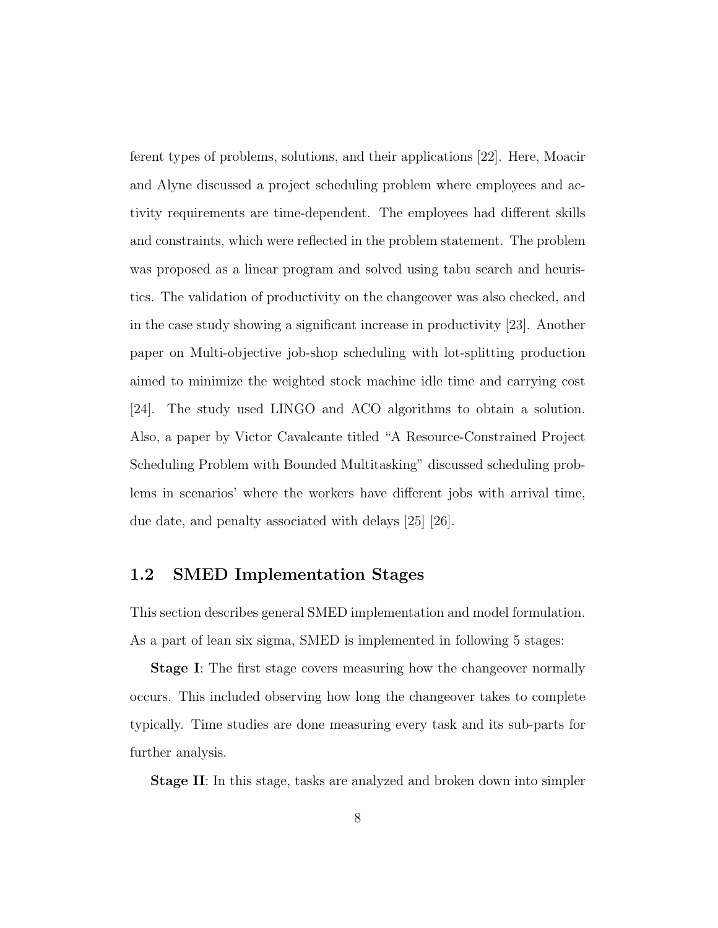ferent types of problems, solutions, and their applications [22]. Here, Moacir and Alyne discussed a project scheduling problem where employees and activity requirements are time-dependent. The employees had different skills and constraints, which were reflected in the problem statement. The problem was proposed as a linear program and solved using tabu search and heuristics. The validation of productivity on the changeover was also checked, and in the case study showing a significant increase in productivity [23]. Another paper on Multi-objective job-shop scheduling with lot-splitting production aimed to minimize the weighted stock machine idle time and carrying cost [24]. The study used LINGO and ACO algorithms to obtain a solution. Also, a paper by Victor Cavalcante titled "A Resource-Constrained Project Scheduling Problem with Bounded Multitasking" discussed scheduling problems in scenarios' where the workers have different jobs with arrival time, due date, and penalty associated with delays [25] [26].

#### 1.2 SMED Implementation Stages

This section describes general SMED implementation and model formulation. As a part of lean six sigma, SMED is implemented in following 5 stages:

**Stage I:** The first stage covers measuring how the changeover normally occurs. This included observing how long the changeover takes to complete typically. Time studies are done measuring every task and its sub-parts for further analysis.

Stage II: In this stage, tasks are analyzed and broken down into simpler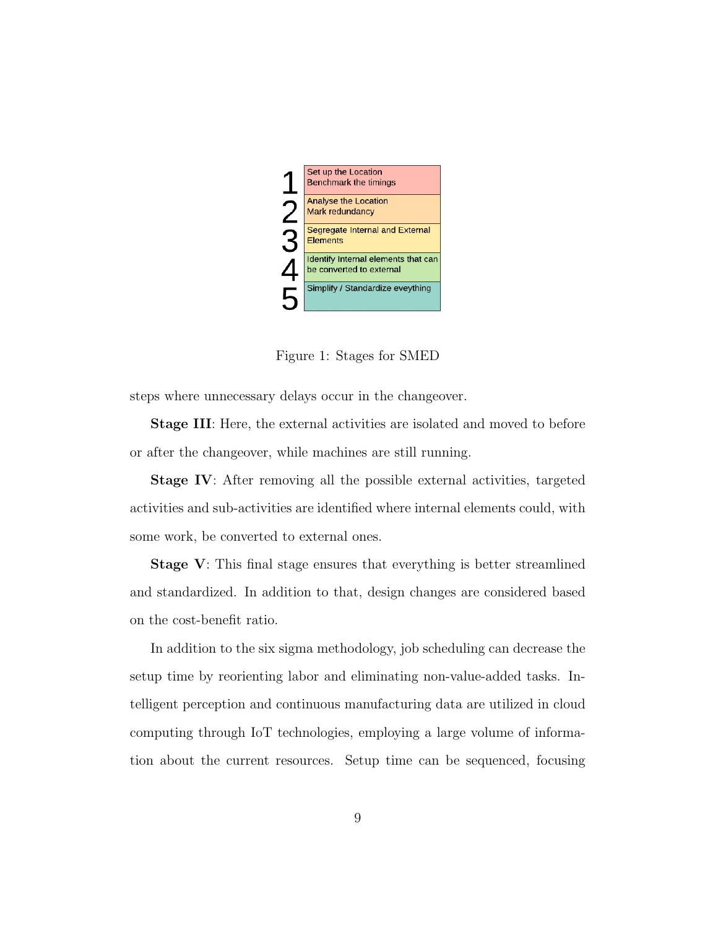

Figure 1: Stages for SMED

steps where unnecessary delays occur in the changeover.

Stage III: Here, the external activities are isolated and moved to before or after the changeover, while machines are still running.

Stage IV: After removing all the possible external activities, targeted activities and sub-activities are identified where internal elements could, with some work, be converted to external ones.

Stage V: This final stage ensures that everything is better streamlined and standardized. In addition to that, design changes are considered based on the cost-benefit ratio.

In addition to the six sigma methodology, job scheduling can decrease the setup time by reorienting labor and eliminating non-value-added tasks. Intelligent perception and continuous manufacturing data are utilized in cloud computing through IoT technologies, employing a large volume of information about the current resources. Setup time can be sequenced, focusing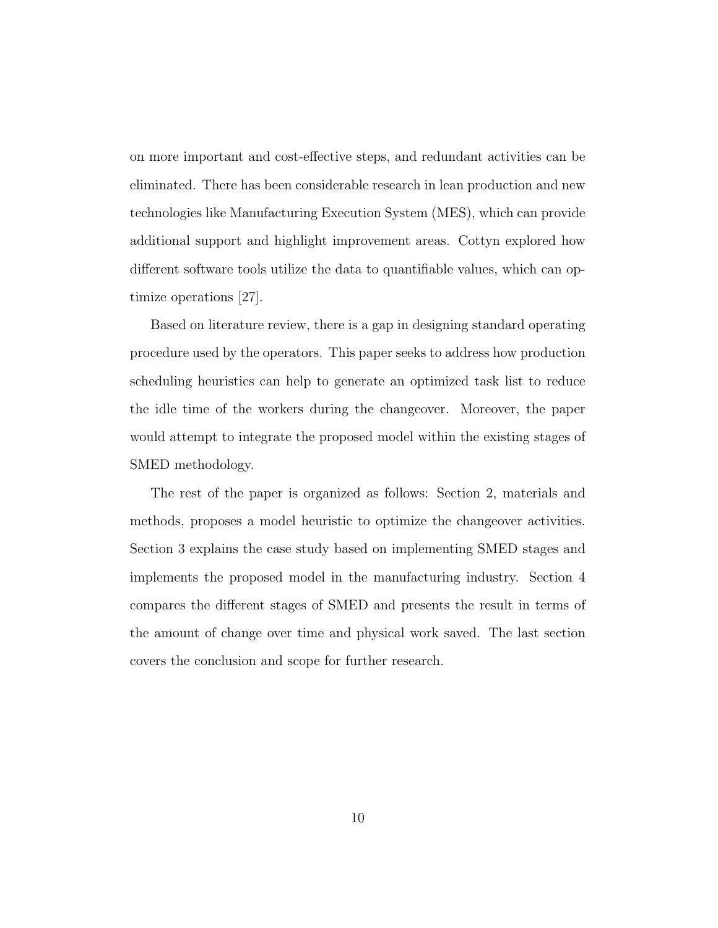on more important and cost-effective steps, and redundant activities can be eliminated. There has been considerable research in lean production and new technologies like Manufacturing Execution System (MES), which can provide additional support and highlight improvement areas. Cottyn explored how different software tools utilize the data to quantifiable values, which can optimize operations [27].

Based on literature review, there is a gap in designing standard operating procedure used by the operators. This paper seeks to address how production scheduling heuristics can help to generate an optimized task list to reduce the idle time of the workers during the changeover. Moreover, the paper would attempt to integrate the proposed model within the existing stages of SMED methodology.

The rest of the paper is organized as follows: Section 2, materials and methods, proposes a model heuristic to optimize the changeover activities. Section 3 explains the case study based on implementing SMED stages and implements the proposed model in the manufacturing industry. Section 4 compares the different stages of SMED and presents the result in terms of the amount of change over time and physical work saved. The last section covers the conclusion and scope for further research.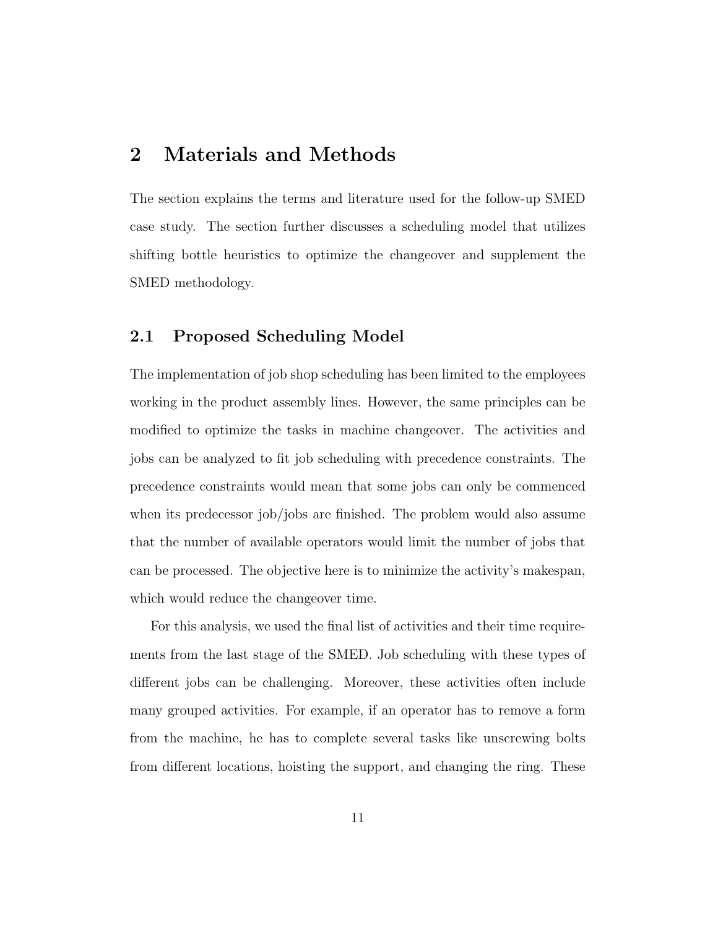### 2 Materials and Methods

The section explains the terms and literature used for the follow-up SMED case study. The section further discusses a scheduling model that utilizes shifting bottle heuristics to optimize the changeover and supplement the SMED methodology.

#### 2.1 Proposed Scheduling Model

The implementation of job shop scheduling has been limited to the employees working in the product assembly lines. However, the same principles can be modified to optimize the tasks in machine changeover. The activities and jobs can be analyzed to fit job scheduling with precedence constraints. The precedence constraints would mean that some jobs can only be commenced when its predecessor job/jobs are finished. The problem would also assume that the number of available operators would limit the number of jobs that can be processed. The objective here is to minimize the activity's makespan, which would reduce the changeover time.

For this analysis, we used the final list of activities and their time requirements from the last stage of the SMED. Job scheduling with these types of different jobs can be challenging. Moreover, these activities often include many grouped activities. For example, if an operator has to remove a form from the machine, he has to complete several tasks like unscrewing bolts from different locations, hoisting the support, and changing the ring. These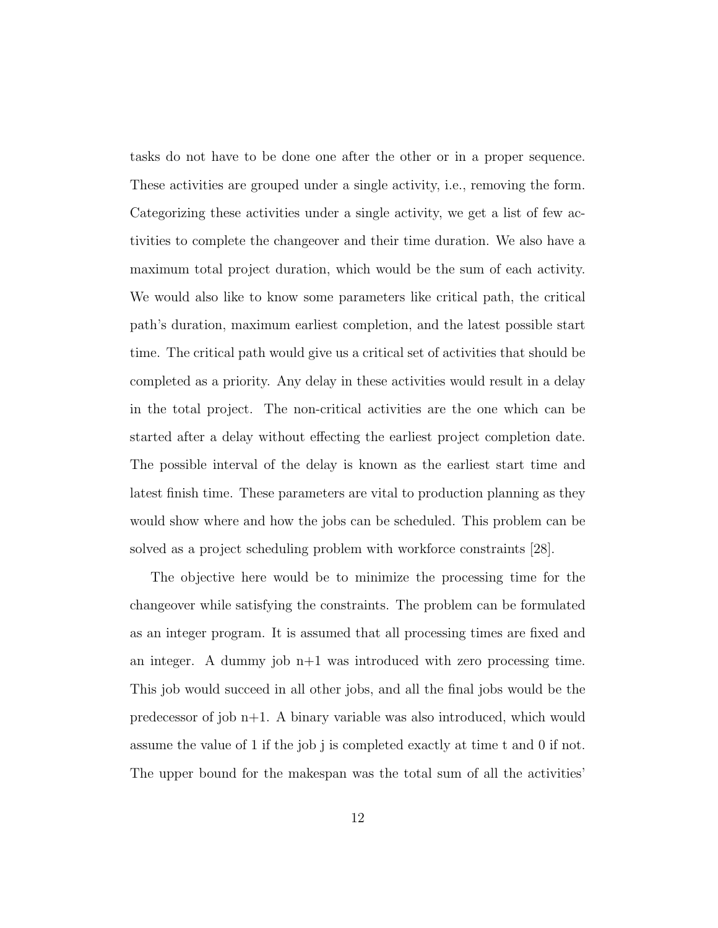tasks do not have to be done one after the other or in a proper sequence. These activities are grouped under a single activity, i.e., removing the form. Categorizing these activities under a single activity, we get a list of few activities to complete the changeover and their time duration. We also have a maximum total project duration, which would be the sum of each activity. We would also like to know some parameters like critical path, the critical path's duration, maximum earliest completion, and the latest possible start time. The critical path would give us a critical set of activities that should be completed as a priority. Any delay in these activities would result in a delay in the total project. The non-critical activities are the one which can be started after a delay without effecting the earliest project completion date. The possible interval of the delay is known as the earliest start time and latest finish time. These parameters are vital to production planning as they would show where and how the jobs can be scheduled. This problem can be solved as a project scheduling problem with workforce constraints [28].

The objective here would be to minimize the processing time for the changeover while satisfying the constraints. The problem can be formulated as an integer program. It is assumed that all processing times are fixed and an integer. A dummy job  $n+1$  was introduced with zero processing time. This job would succeed in all other jobs, and all the final jobs would be the predecessor of job n+1. A binary variable was also introduced, which would assume the value of 1 if the job j is completed exactly at time t and 0 if not. The upper bound for the makespan was the total sum of all the activities'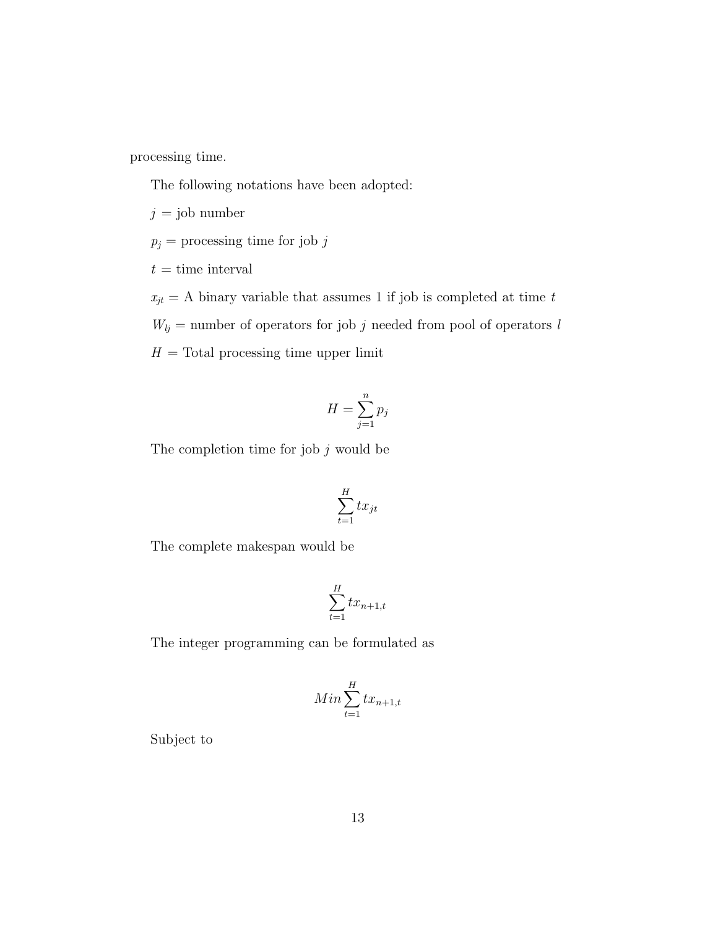processing time.

The following notations have been adopted:

 $j =$ job number

 $p_j$  = processing time for job  $j$ 

 $t =$  time interval

 $x_{jt} = A$  binary variable that assumes 1 if job is completed at time t  $W_{lj}$  = number of operators for job j needed from pool of operators l  $H = \text{Total processing time upper limit}$ 

$$
H = \sum_{j=1}^{n} p_j
$$

The completion time for job  $j$  would be

$$
\sum_{t=1}^H tx_{jt}
$$

The complete makespan would be

$$
\sum_{t=1}^{H} tx_{n+1,t}
$$

The integer programming can be formulated as

$$
Min\sum_{t=1}^{H} tx_{n+1,t}
$$

Subject to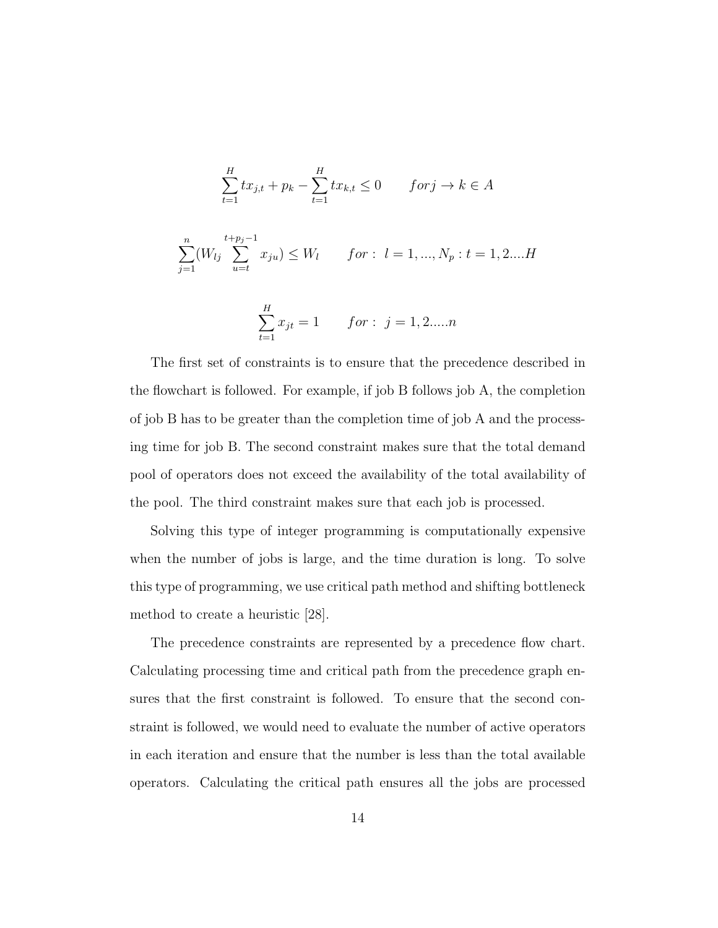$$
\sum_{t=1}^{H} tx_{j,t} + p_k - \sum_{t=1}^{H} tx_{k,t} \le 0 \qquad for \, j \to k \in A
$$

$$
\sum_{j=1}^{n} (W_{lj} \sum_{u=t}^{t+p_j-1} x_{ju}) \le W_l \qquad for: l = 1, ..., N_p : t = 1, 2....H
$$

$$
\sum_{t=1}^{H} x_{jt} = 1 \qquad for: \ j = 1, 2, \dots, n
$$

The first set of constraints is to ensure that the precedence described in the flowchart is followed. For example, if job B follows job A, the completion of job B has to be greater than the completion time of job A and the processing time for job B. The second constraint makes sure that the total demand pool of operators does not exceed the availability of the total availability of the pool. The third constraint makes sure that each job is processed.

Solving this type of integer programming is computationally expensive when the number of jobs is large, and the time duration is long. To solve this type of programming, we use critical path method and shifting bottleneck method to create a heuristic [28].

The precedence constraints are represented by a precedence flow chart. Calculating processing time and critical path from the precedence graph ensures that the first constraint is followed. To ensure that the second constraint is followed, we would need to evaluate the number of active operators in each iteration and ensure that the number is less than the total available operators. Calculating the critical path ensures all the jobs are processed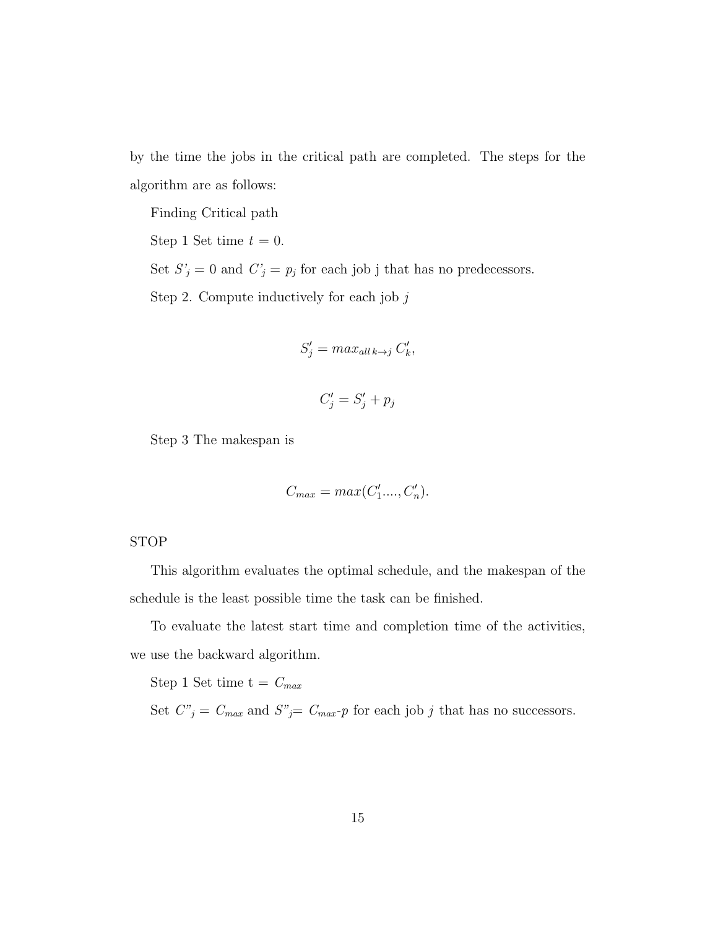by the time the jobs in the critical path are completed. The steps for the algorithm are as follows:

Finding Critical path

Step 1 Set time  $t = 0$ .

Set  $S'_j = 0$  and  $C'_j = p_j$  for each job j that has no predecessors.

Step 2. Compute inductively for each job  $j$ 

$$
S'_j = \max_{all \, k \to j} C'_k,
$$

$$
C'_j = S'_j + p_j
$$

Step 3 The makespan is

$$
C_{max} = max(C'_1, \ldots, C'_n).
$$

#### STOP

This algorithm evaluates the optimal schedule, and the makespan of the schedule is the least possible time the task can be finished.

To evaluate the latest start time and completion time of the activities, we use the backward algorithm.

Step 1 Set time  $t = C_{max}$ 

Set  $C_{j}^{v} = C_{max}$  and  $S_{j}^{v} = C_{max}$ -p for each job j that has no successors.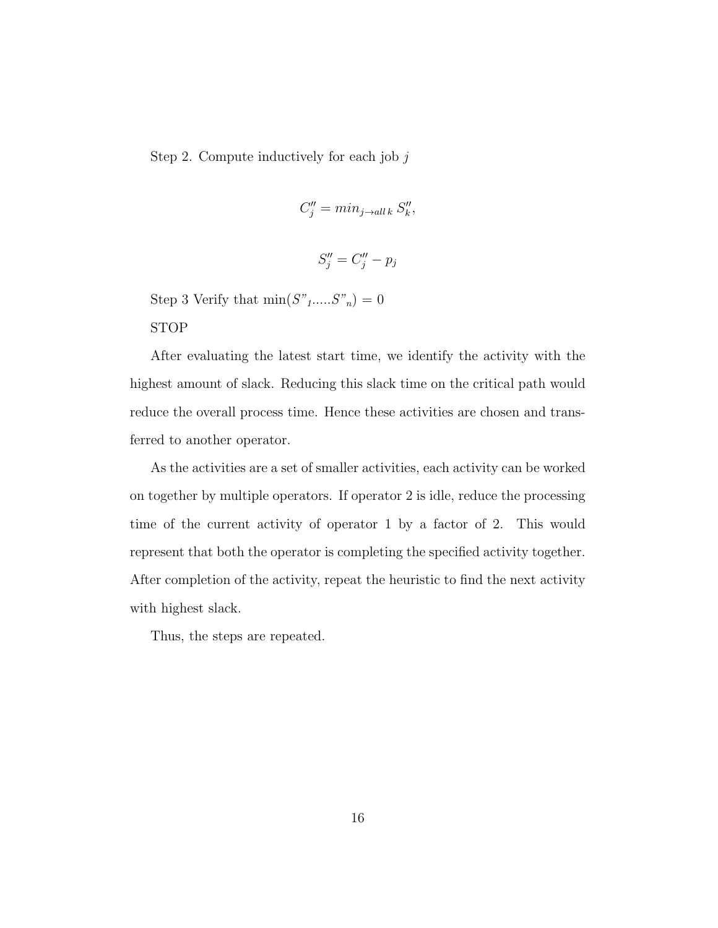Step 2. Compute inductively for each job j

$$
C_j'' = \min_{j \to all \, k} S_k'',
$$

$$
S_j'' = C_j'' - p_j
$$

Step 3 Verify that  $\min(S"_{1}....S"_{n}) = 0$ 

STOP

After evaluating the latest start time, we identify the activity with the highest amount of slack. Reducing this slack time on the critical path would reduce the overall process time. Hence these activities are chosen and transferred to another operator.

As the activities are a set of smaller activities, each activity can be worked on together by multiple operators. If operator 2 is idle, reduce the processing time of the current activity of operator 1 by a factor of 2. This would represent that both the operator is completing the specified activity together. After completion of the activity, repeat the heuristic to find the next activity with highest slack.

Thus, the steps are repeated.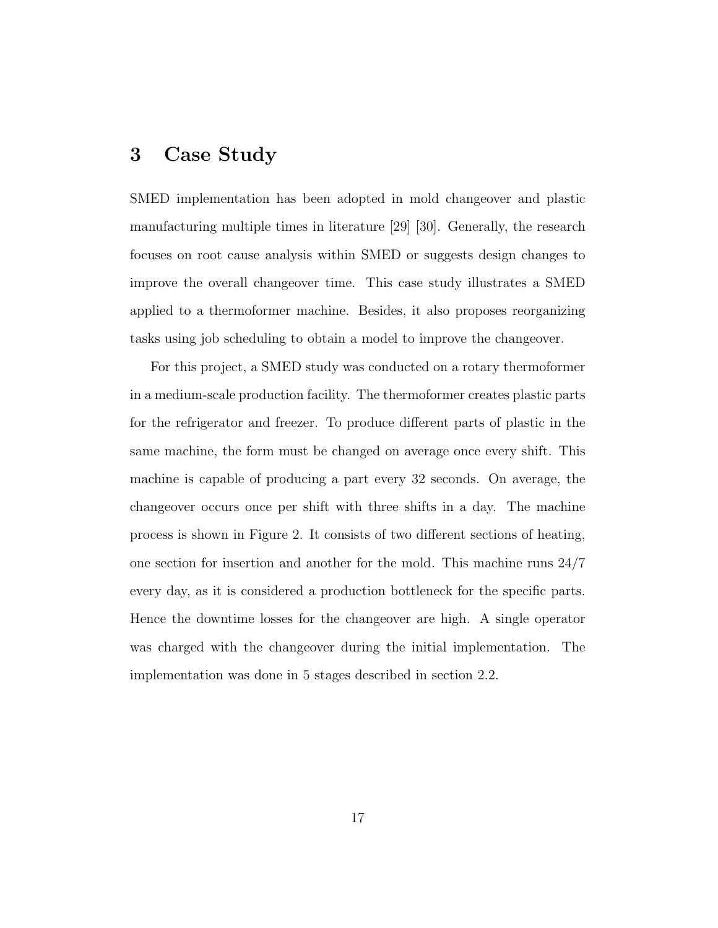## 3 Case Study

SMED implementation has been adopted in mold changeover and plastic manufacturing multiple times in literature [29] [30]. Generally, the research focuses on root cause analysis within SMED or suggests design changes to improve the overall changeover time. This case study illustrates a SMED applied to a thermoformer machine. Besides, it also proposes reorganizing tasks using job scheduling to obtain a model to improve the changeover.

For this project, a SMED study was conducted on a rotary thermoformer in a medium-scale production facility. The thermoformer creates plastic parts for the refrigerator and freezer. To produce different parts of plastic in the same machine, the form must be changed on average once every shift. This machine is capable of producing a part every 32 seconds. On average, the changeover occurs once per shift with three shifts in a day. The machine process is shown in Figure 2. It consists of two different sections of heating, one section for insertion and another for the mold. This machine runs 24/7 every day, as it is considered a production bottleneck for the specific parts. Hence the downtime losses for the changeover are high. A single operator was charged with the changeover during the initial implementation. The implementation was done in 5 stages described in section 2.2.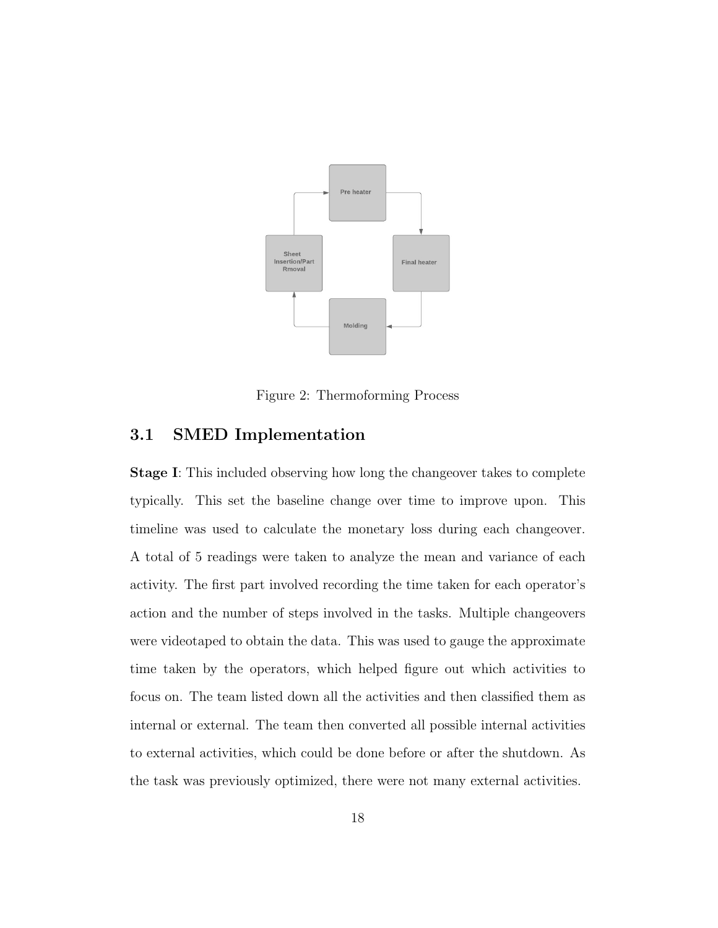

Figure 2: Thermoforming Process

## 3.1 SMED Implementation

Stage I: This included observing how long the changeover takes to complete typically. This set the baseline change over time to improve upon. This timeline was used to calculate the monetary loss during each changeover. A total of 5 readings were taken to analyze the mean and variance of each activity. The first part involved recording the time taken for each operator's action and the number of steps involved in the tasks. Multiple changeovers were videotaped to obtain the data. This was used to gauge the approximate time taken by the operators, which helped figure out which activities to focus on. The team listed down all the activities and then classified them as internal or external. The team then converted all possible internal activities to external activities, which could be done before or after the shutdown. As the task was previously optimized, there were not many external activities.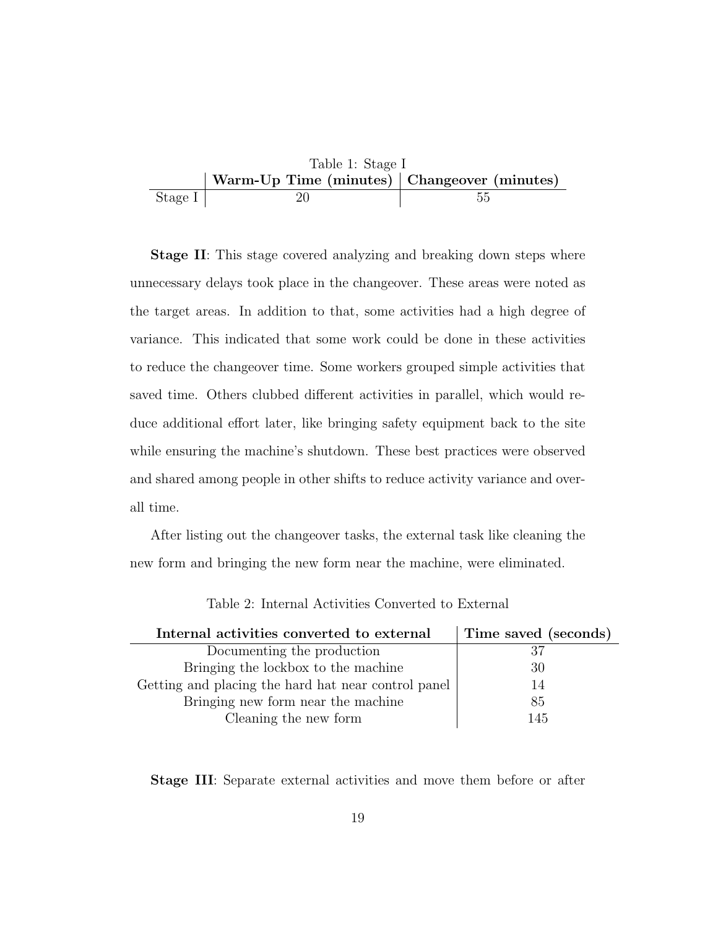

**Stage II:** This stage covered analyzing and breaking down steps where unnecessary delays took place in the changeover. These areas were noted as the target areas. In addition to that, some activities had a high degree of variance. This indicated that some work could be done in these activities to reduce the changeover time. Some workers grouped simple activities that saved time. Others clubbed different activities in parallel, which would reduce additional effort later, like bringing safety equipment back to the site while ensuring the machine's shutdown. These best practices were observed and shared among people in other shifts to reduce activity variance and overall time.

After listing out the changeover tasks, the external task like cleaning the new form and bringing the new form near the machine, were eliminated.

| Internal activities converted to external           | Time saved (seconds) |
|-----------------------------------------------------|----------------------|
| Documenting the production                          | 37                   |
| Bringing the lockbox to the machine                 | 30                   |
| Getting and placing the hard hat near control panel | 14                   |
| Bringing new form near the machine                  | 85                   |
| Cleaning the new form                               | 145                  |

Table 2: Internal Activities Converted to External

Stage III: Separate external activities and move them before or after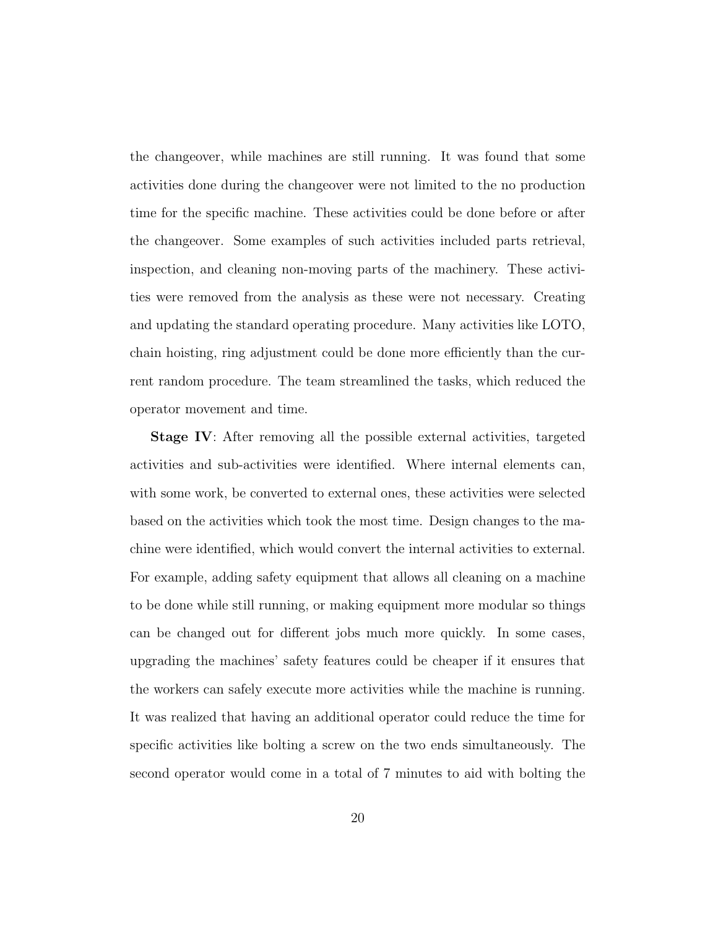the changeover, while machines are still running. It was found that some activities done during the changeover were not limited to the no production time for the specific machine. These activities could be done before or after the changeover. Some examples of such activities included parts retrieval, inspection, and cleaning non-moving parts of the machinery. These activities were removed from the analysis as these were not necessary. Creating and updating the standard operating procedure. Many activities like LOTO, chain hoisting, ring adjustment could be done more efficiently than the current random procedure. The team streamlined the tasks, which reduced the operator movement and time.

Stage IV: After removing all the possible external activities, targeted activities and sub-activities were identified. Where internal elements can, with some work, be converted to external ones, these activities were selected based on the activities which took the most time. Design changes to the machine were identified, which would convert the internal activities to external. For example, adding safety equipment that allows all cleaning on a machine to be done while still running, or making equipment more modular so things can be changed out for different jobs much more quickly. In some cases, upgrading the machines' safety features could be cheaper if it ensures that the workers can safely execute more activities while the machine is running. It was realized that having an additional operator could reduce the time for specific activities like bolting a screw on the two ends simultaneously. The second operator would come in a total of 7 minutes to aid with bolting the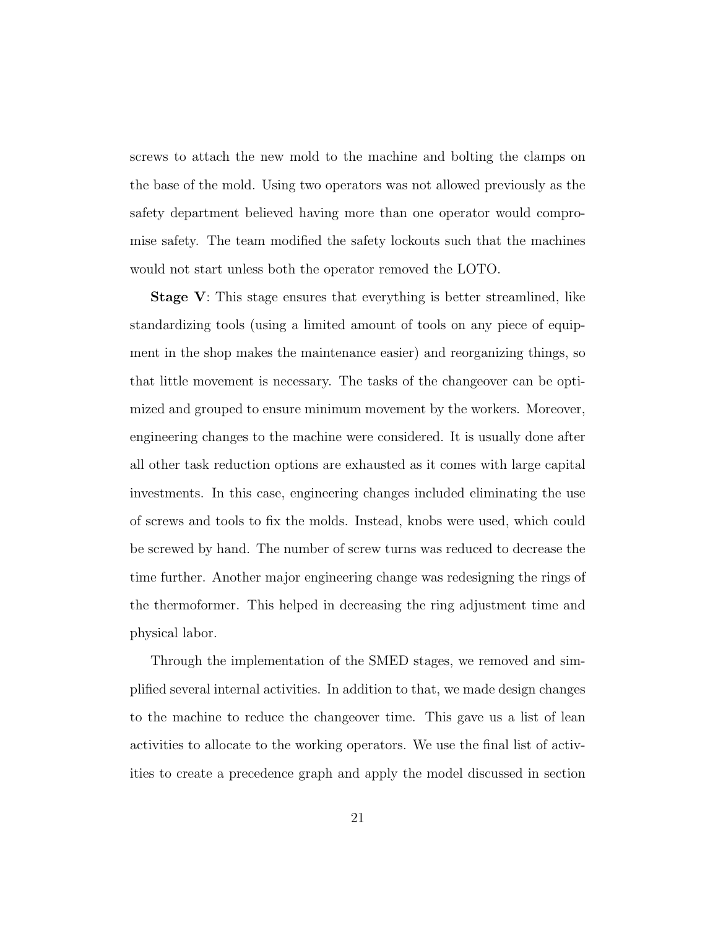screws to attach the new mold to the machine and bolting the clamps on the base of the mold. Using two operators was not allowed previously as the safety department believed having more than one operator would compromise safety. The team modified the safety lockouts such that the machines would not start unless both the operator removed the LOTO.

Stage V: This stage ensures that everything is better streamlined, like standardizing tools (using a limited amount of tools on any piece of equipment in the shop makes the maintenance easier) and reorganizing things, so that little movement is necessary. The tasks of the changeover can be optimized and grouped to ensure minimum movement by the workers. Moreover, engineering changes to the machine were considered. It is usually done after all other task reduction options are exhausted as it comes with large capital investments. In this case, engineering changes included eliminating the use of screws and tools to fix the molds. Instead, knobs were used, which could be screwed by hand. The number of screw turns was reduced to decrease the time further. Another major engineering change was redesigning the rings of the thermoformer. This helped in decreasing the ring adjustment time and physical labor.

Through the implementation of the SMED stages, we removed and simplified several internal activities. In addition to that, we made design changes to the machine to reduce the changeover time. This gave us a list of lean activities to allocate to the working operators. We use the final list of activities to create a precedence graph and apply the model discussed in section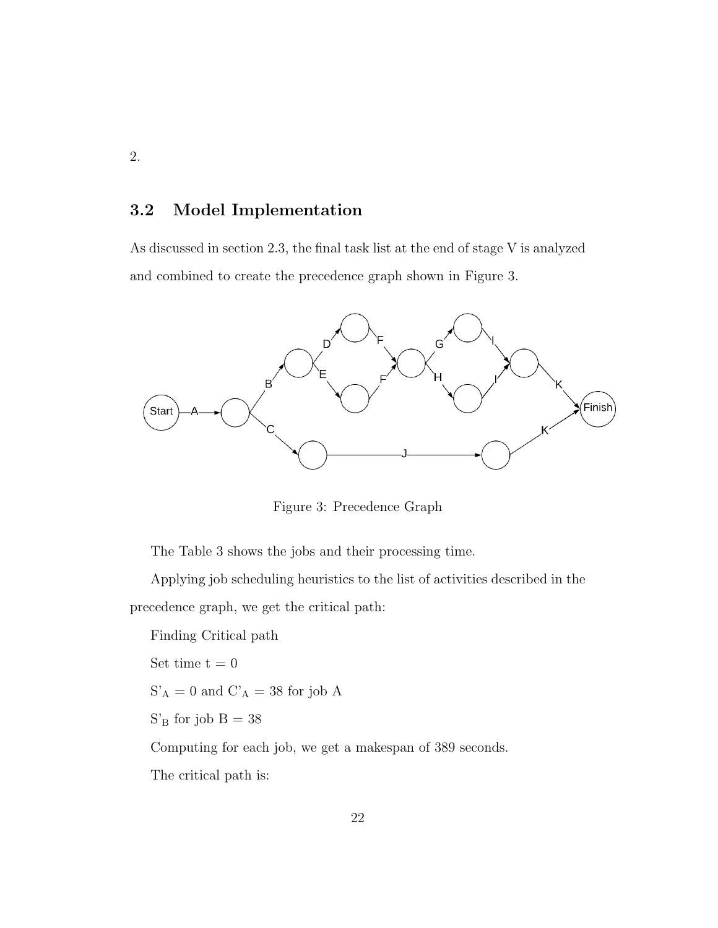#### 3.2 Model Implementation

As discussed in section 2.3, the final task list at the end of stage V is analyzed and combined to create the precedence graph shown in Figure 3.



Figure 3: Precedence Graph

The Table 3 shows the jobs and their processing time.

Applying job scheduling heuristics to the list of activities described in the precedence graph, we get the critical path:

Finding Critical path Set time  $t = 0$  $\mathbf{S^{\prime}}_\mathbf{A} = \mathbf{0}$  and  $\mathbf{C^{\prime}}_\mathbf{A} = \mathbf{38}$  for job  $\mathbf{A}$  $\mathrm{S}'_{\mathrm{B}}$  for job  $\mathrm{B}=38$ Computing for each job, we get a makespan of 389 seconds. The critical path is: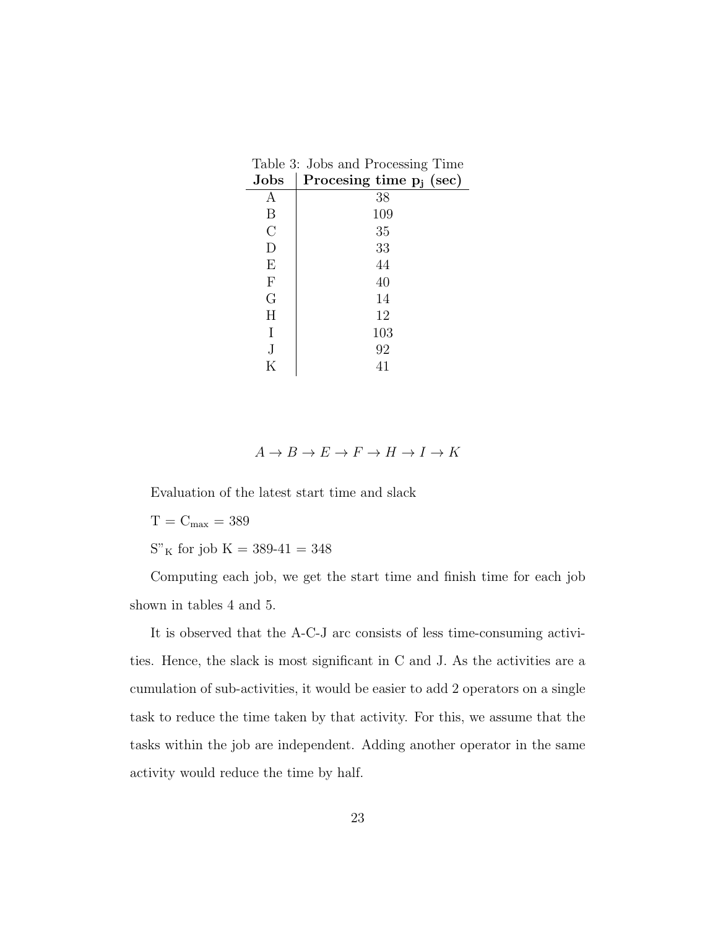| Jobs                      | ◡<br>Procesing time $p_i$ (sec) |
|---------------------------|---------------------------------|
| А                         | 38                              |
| B                         | 109                             |
| $\overline{C}$            | 35                              |
| D                         | 33                              |
| E                         | 44                              |
| $\boldsymbol{\mathrm{F}}$ | 40                              |
| G                         | 14                              |
| H                         | 12                              |
| Ι                         | 103                             |
| J                         | 92                              |
| Κ                         | 41                              |

| Table 3: Jobs and Processing Time |  |
|-----------------------------------|--|
| Jobs   Procesing time $p_j$ (sec) |  |

 $A \to B \to E \to F \to H \to I \to K$ 

Evaluation of the latest start time and slack

 $T=C_{\rm max}=389$ 

 $\mathrm{S''\,K}$  for job  $\mathrm{K} = 389\text{-}41 = 348$ 

Computing each job, we get the start time and finish time for each job shown in tables 4 and 5.

It is observed that the A-C-J arc consists of less time-consuming activities. Hence, the slack is most significant in C and J. As the activities are a cumulation of sub-activities, it would be easier to add 2 operators on a single task to reduce the time taken by that activity. For this, we assume that the tasks within the job are independent. Adding another operator in the same activity would reduce the time by half.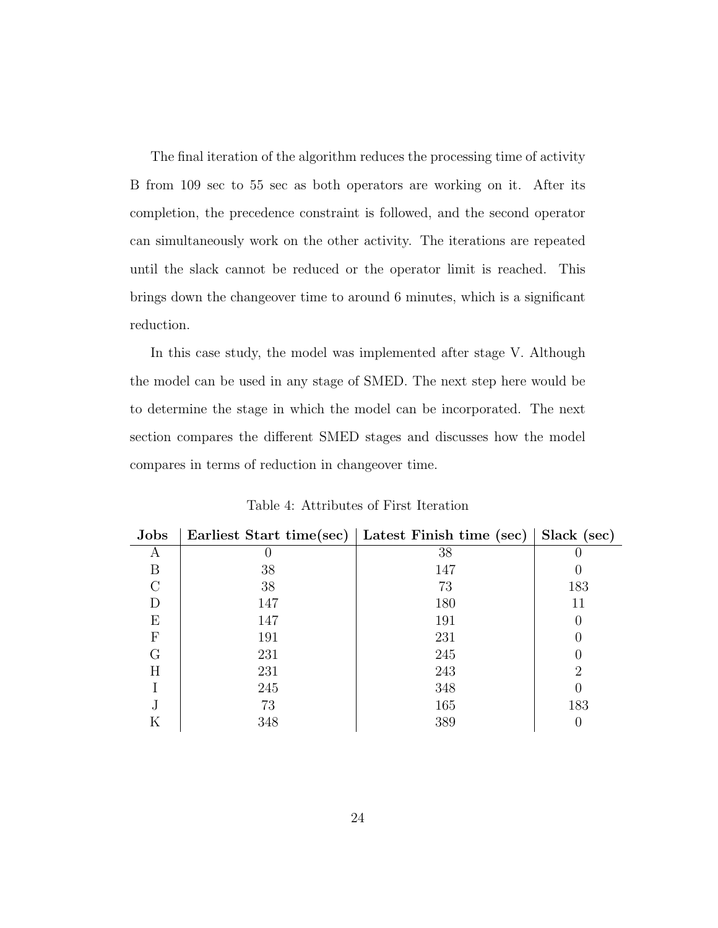The final iteration of the algorithm reduces the processing time of activity B from 109 sec to 55 sec as both operators are working on it. After its completion, the precedence constraint is followed, and the second operator can simultaneously work on the other activity. The iterations are repeated until the slack cannot be reduced or the operator limit is reached. This brings down the changeover time to around 6 minutes, which is a significant reduction.

In this case study, the model was implemented after stage V. Although the model can be used in any stage of SMED. The next step here would be to determine the stage in which the model can be incorporated. The next section compares the different SMED stages and discusses how the model compares in terms of reduction in changeover time.

| <b>Jobs</b> | Earliest Start time(sec) | Latest Finish time (sec) | Slack (sec) |
|-------------|--------------------------|--------------------------|-------------|
| А           |                          | 38                       |             |
| B           | 38                       | 147                      |             |
| $\cap$      | 38                       | 73                       | 183         |
|             | 147                      | 180                      | 11          |
| Е           | 147                      | 191                      |             |
| F           | 191                      | 231                      |             |
| G           | 231                      | 245                      |             |
| Η           | 231                      | 243                      | 2           |
|             | 245                      | 348                      |             |
| J           | 73                       | 165                      | 183         |
| Κ           | 348                      | 389                      |             |

Table 4: Attributes of First Iteration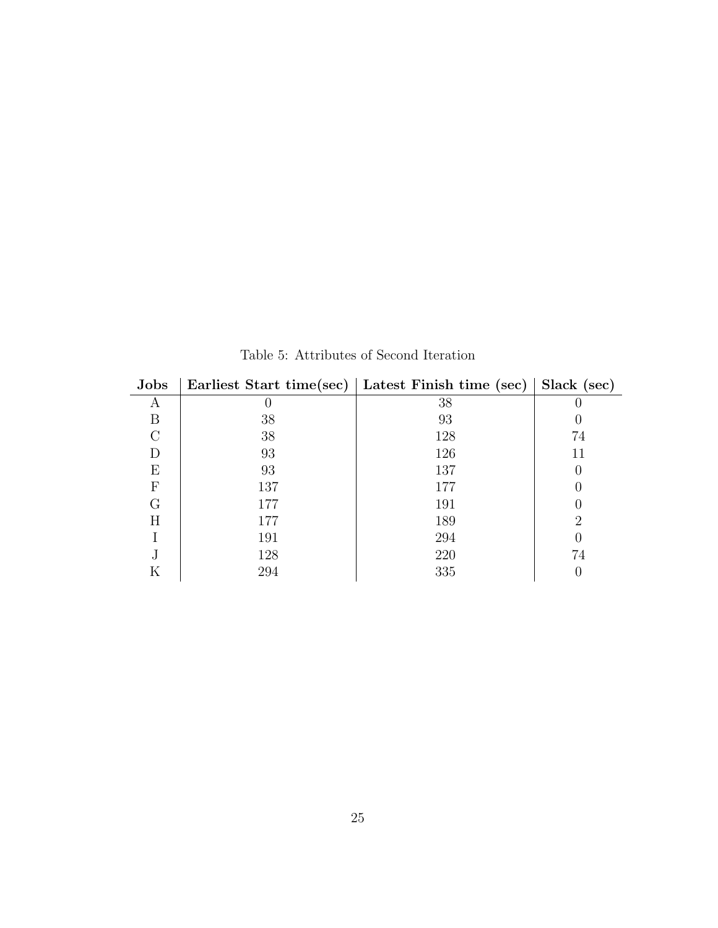| <b>Jobs</b> |     | Earliest Start time(sec)   Latest Finish time (sec) | Slack (sec) |
|-------------|-----|-----------------------------------------------------|-------------|
| А           | U   | 38                                                  |             |
| B           | 38  | 93                                                  |             |
|             | 38  | 128                                                 | 74          |
|             | 93  | 126                                                 | 11          |
| F,          | 93  | 137                                                 |             |
| F           | 137 | 177                                                 |             |
| G           | 177 | 191                                                 |             |
| Η           | 177 | 189                                                 | ٠,          |
|             | 191 | 294                                                 |             |
| J           | 128 | 220                                                 | 74          |
| Κ           | 294 | 335                                                 |             |

Table 5: Attributes of Second Iteration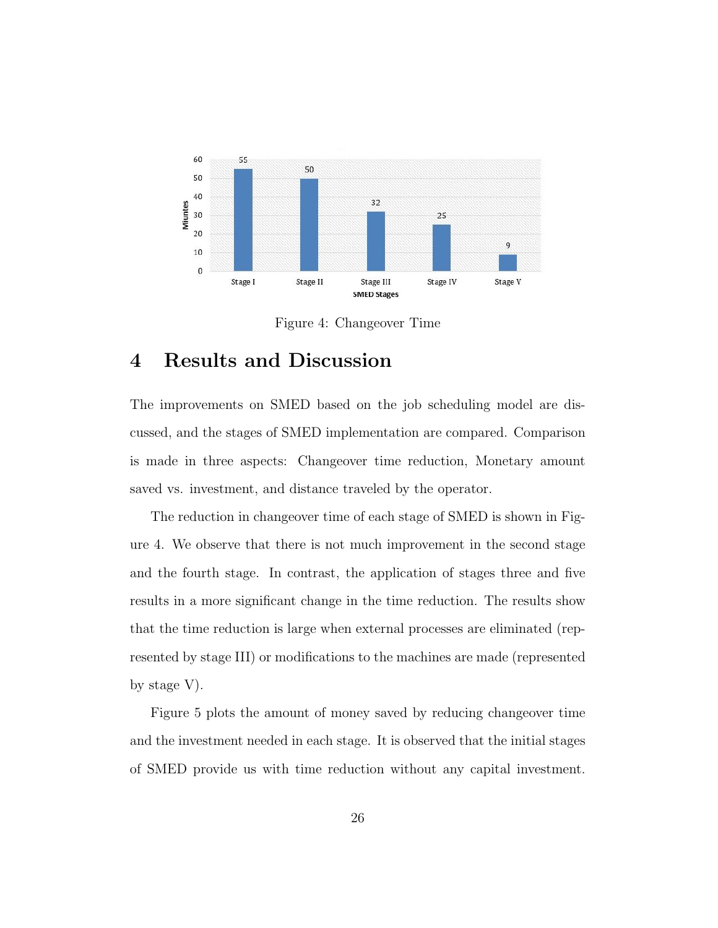

Figure 4: Changeover Time

## 4 Results and Discussion

The improvements on SMED based on the job scheduling model are discussed, and the stages of SMED implementation are compared. Comparison is made in three aspects: Changeover time reduction, Monetary amount saved vs. investment, and distance traveled by the operator.

The reduction in changeover time of each stage of SMED is shown in Figure 4. We observe that there is not much improvement in the second stage and the fourth stage. In contrast, the application of stages three and five results in a more significant change in the time reduction. The results show that the time reduction is large when external processes are eliminated (represented by stage III) or modifications to the machines are made (represented by stage V).

Figure 5 plots the amount of money saved by reducing changeover time and the investment needed in each stage. It is observed that the initial stages of SMED provide us with time reduction without any capital investment.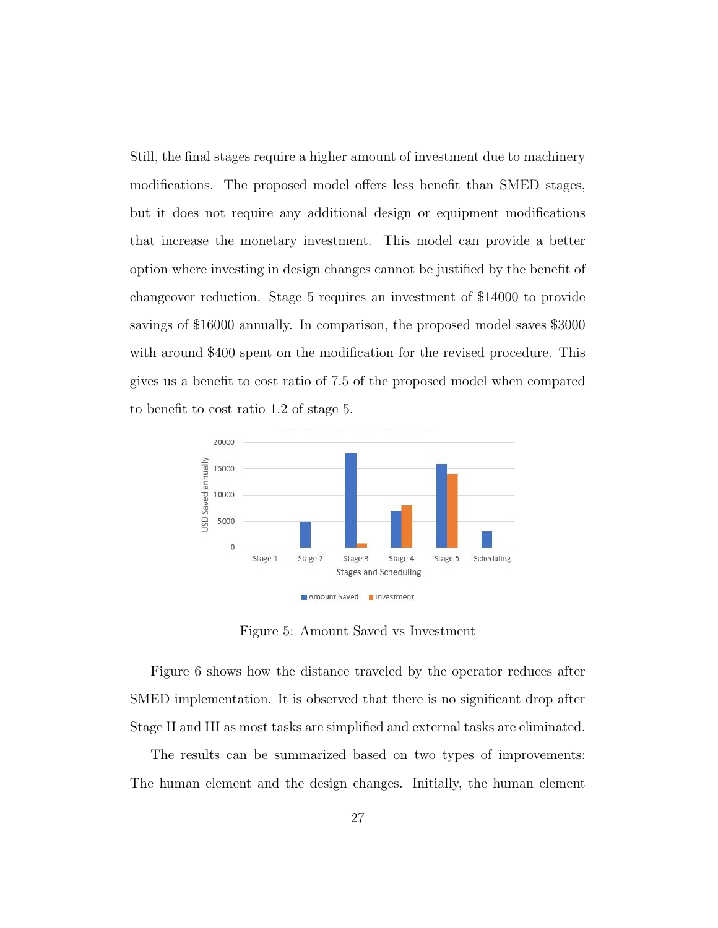Still, the final stages require a higher amount of investment due to machinery modifications. The proposed model offers less benefit than SMED stages, but it does not require any additional design or equipment modifications that increase the monetary investment. This model can provide a better option where investing in design changes cannot be justified by the benefit of changeover reduction. Stage 5 requires an investment of \$14000 to provide savings of \$16000 annually. In comparison, the proposed model saves \$3000 with around \$400 spent on the modification for the revised procedure. This gives us a benefit to cost ratio of 7.5 of the proposed model when compared to benefit to cost ratio 1.2 of stage 5.



Figure 5: Amount Saved vs Investment

Figure 6 shows how the distance traveled by the operator reduces after SMED implementation. It is observed that there is no significant drop after Stage II and III as most tasks are simplified and external tasks are eliminated.

The results can be summarized based on two types of improvements: The human element and the design changes. Initially, the human element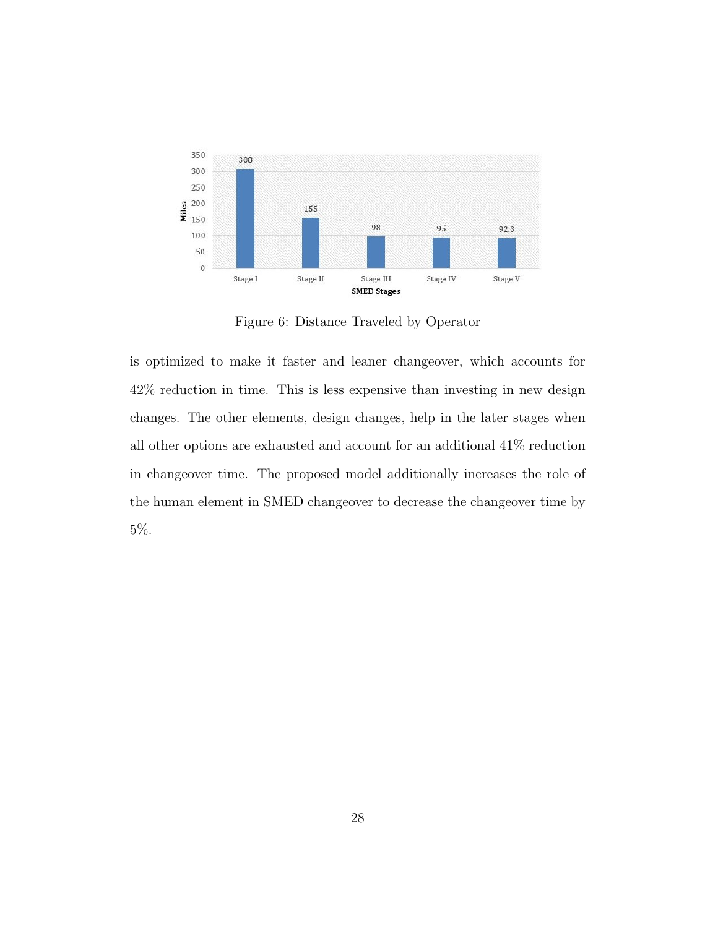

Figure 6: Distance Traveled by Operator

is optimized to make it faster and leaner changeover, which accounts for 42% reduction in time. This is less expensive than investing in new design changes. The other elements, design changes, help in the later stages when all other options are exhausted and account for an additional 41% reduction in changeover time. The proposed model additionally increases the role of the human element in SMED changeover to decrease the changeover time by 5%.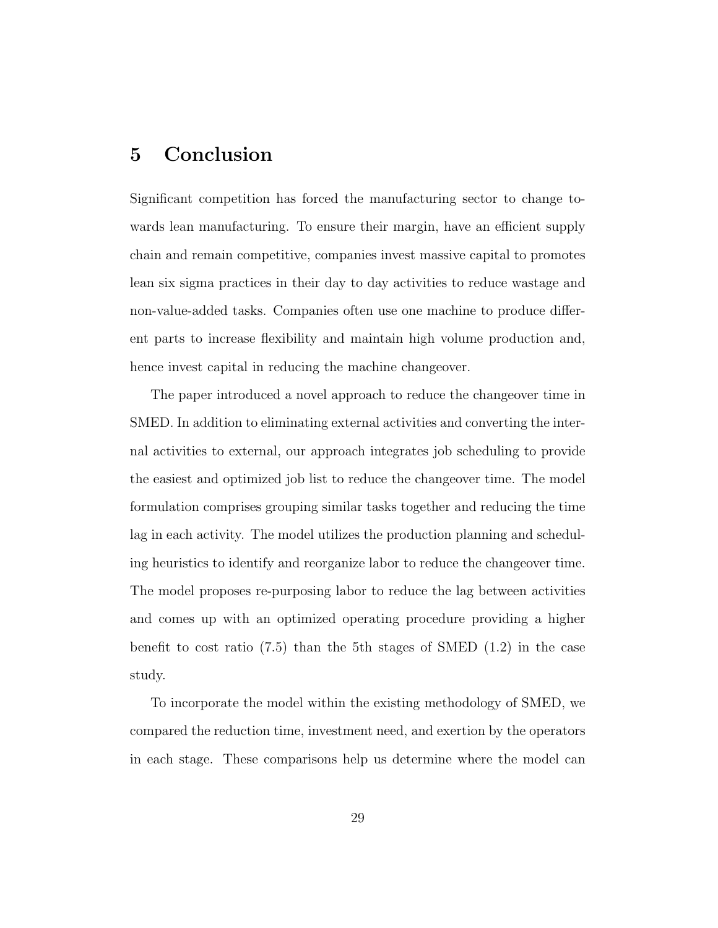## 5 Conclusion

Significant competition has forced the manufacturing sector to change towards lean manufacturing. To ensure their margin, have an efficient supply chain and remain competitive, companies invest massive capital to promotes lean six sigma practices in their day to day activities to reduce wastage and non-value-added tasks. Companies often use one machine to produce different parts to increase flexibility and maintain high volume production and, hence invest capital in reducing the machine changeover.

The paper introduced a novel approach to reduce the changeover time in SMED. In addition to eliminating external activities and converting the internal activities to external, our approach integrates job scheduling to provide the easiest and optimized job list to reduce the changeover time. The model formulation comprises grouping similar tasks together and reducing the time lag in each activity. The model utilizes the production planning and scheduling heuristics to identify and reorganize labor to reduce the changeover time. The model proposes re-purposing labor to reduce the lag between activities and comes up with an optimized operating procedure providing a higher benefit to cost ratio  $(7.5)$  than the 5th stages of SMED  $(1.2)$  in the case study.

To incorporate the model within the existing methodology of SMED, we compared the reduction time, investment need, and exertion by the operators in each stage. These comparisons help us determine where the model can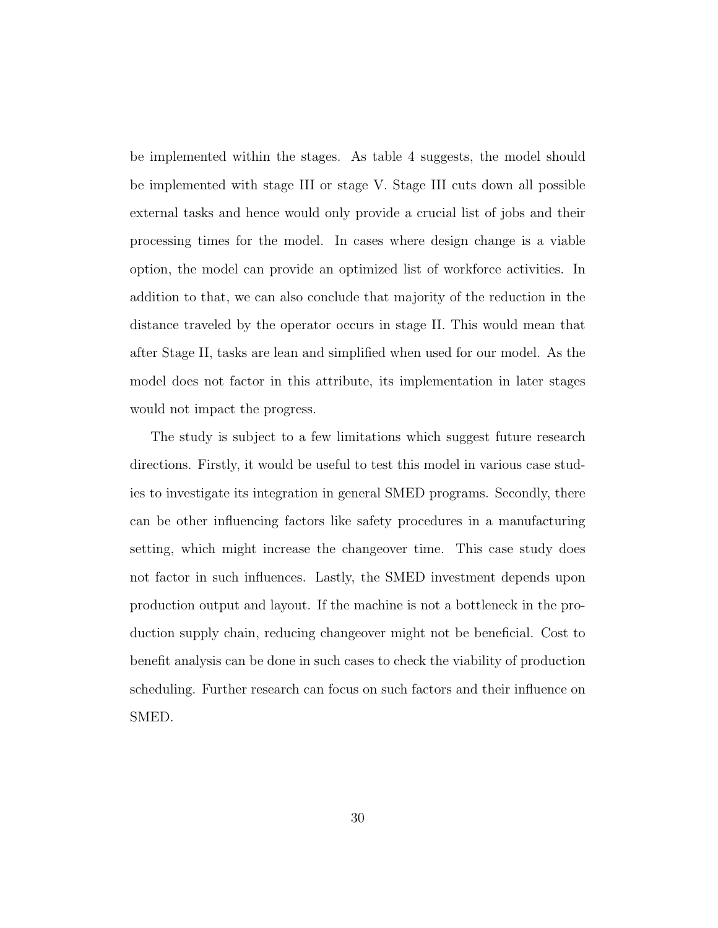be implemented within the stages. As table 4 suggests, the model should be implemented with stage III or stage V. Stage III cuts down all possible external tasks and hence would only provide a crucial list of jobs and their processing times for the model. In cases where design change is a viable option, the model can provide an optimized list of workforce activities. In addition to that, we can also conclude that majority of the reduction in the distance traveled by the operator occurs in stage II. This would mean that after Stage II, tasks are lean and simplified when used for our model. As the model does not factor in this attribute, its implementation in later stages would not impact the progress.

The study is subject to a few limitations which suggest future research directions. Firstly, it would be useful to test this model in various case studies to investigate its integration in general SMED programs. Secondly, there can be other influencing factors like safety procedures in a manufacturing setting, which might increase the changeover time. This case study does not factor in such influences. Lastly, the SMED investment depends upon production output and layout. If the machine is not a bottleneck in the production supply chain, reducing changeover might not be beneficial. Cost to benefit analysis can be done in such cases to check the viability of production scheduling. Further research can focus on such factors and their influence on SMED.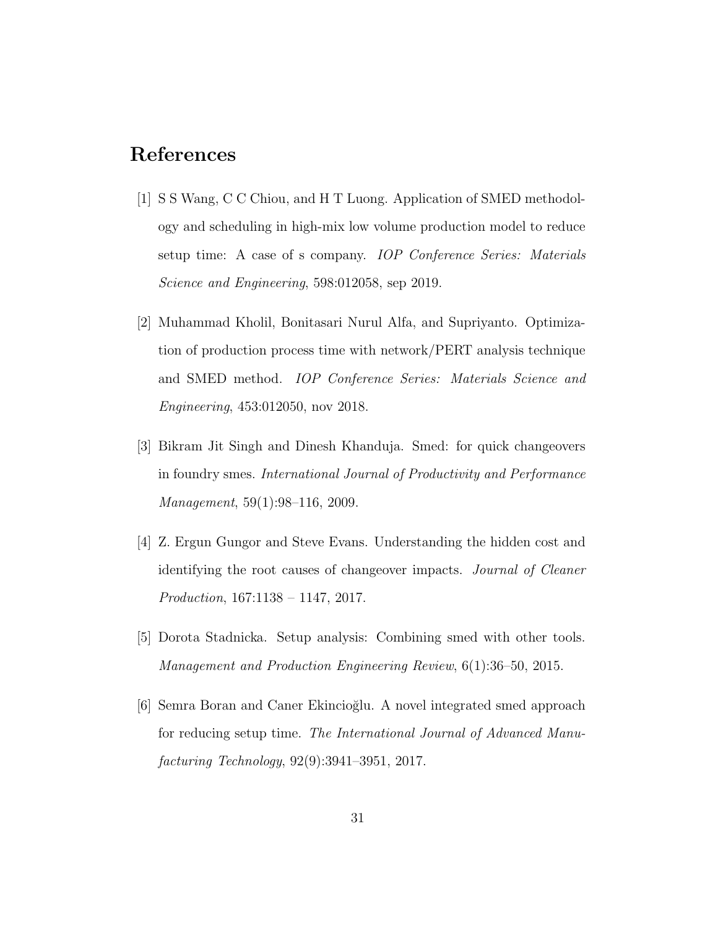## References

- [1] S S Wang, C C Chiou, and H T Luong. Application of SMED methodology and scheduling in high-mix low volume production model to reduce setup time: A case of s company. IOP Conference Series: Materials Science and Engineering, 598:012058, sep 2019.
- [2] Muhammad Kholil, Bonitasari Nurul Alfa, and Supriyanto. Optimization of production process time with network/PERT analysis technique and SMED method. IOP Conference Series: Materials Science and Engineering, 453:012050, nov 2018.
- [3] Bikram Jit Singh and Dinesh Khanduja. Smed: for quick changeovers in foundry smes. International Journal of Productivity and Performance Management, 59(1):98–116, 2009.
- [4] Z. Ergun Gungor and Steve Evans. Understanding the hidden cost and identifying the root causes of changeover impacts. Journal of Cleaner Production, 167:1138 – 1147, 2017.
- [5] Dorota Stadnicka. Setup analysis: Combining smed with other tools. Management and Production Engineering Review, 6(1):36–50, 2015.
- [6] Semra Boran and Caner Ekincioğlu. A novel integrated smed approach for reducing setup time. The International Journal of Advanced Manufacturing Technology, 92(9):3941–3951, 2017.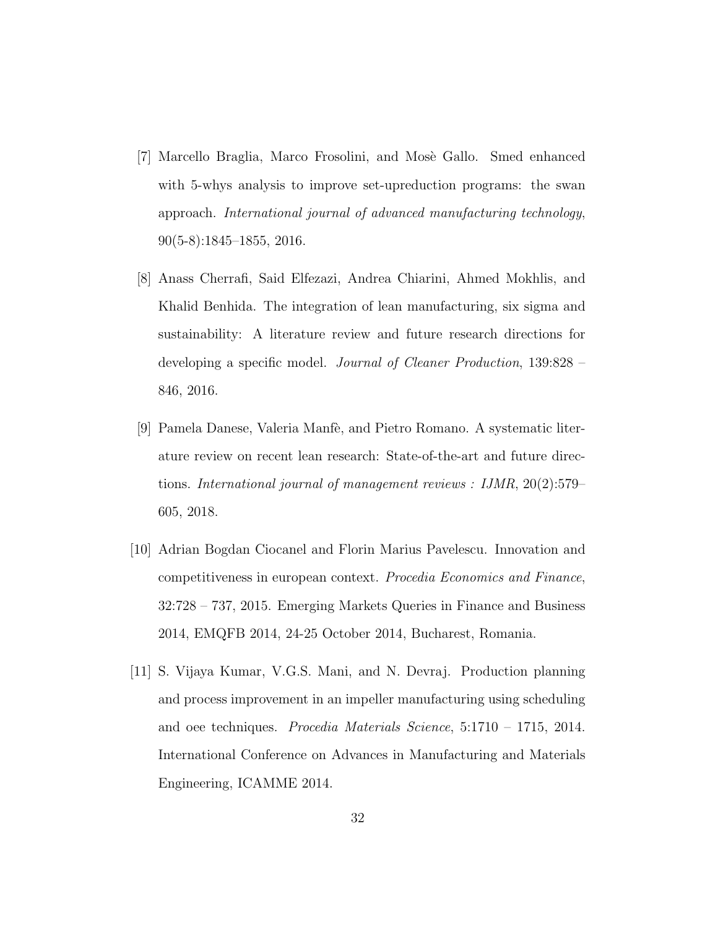- [7] Marcello Braglia, Marco Frosolini, and Mosè Gallo. Smed enhanced with 5-whys analysis to improve set-upreduction programs: the swan approach. International journal of advanced manufacturing technology, 90(5-8):1845–1855, 2016.
- [8] Anass Cherrafi, Said Elfezazi, Andrea Chiarini, Ahmed Mokhlis, and Khalid Benhida. The integration of lean manufacturing, six sigma and sustainability: A literature review and future research directions for developing a specific model. Journal of Cleaner Production, 139:828 – 846, 2016.
- [9] Pamela Danese, Valeria Manfè, and Pietro Romano. A systematic literature review on recent lean research: State-of-the-art and future directions. International journal of management reviews : IJMR, 20(2):579– 605, 2018.
- [10] Adrian Bogdan Ciocanel and Florin Marius Pavelescu. Innovation and competitiveness in european context. Procedia Economics and Finance, 32:728 – 737, 2015. Emerging Markets Queries in Finance and Business 2014, EMQFB 2014, 24-25 October 2014, Bucharest, Romania.
- [11] S. Vijaya Kumar, V.G.S. Mani, and N. Devraj. Production planning and process improvement in an impeller manufacturing using scheduling and oee techniques. Procedia Materials Science, 5:1710 – 1715, 2014. International Conference on Advances in Manufacturing and Materials Engineering, ICAMME 2014.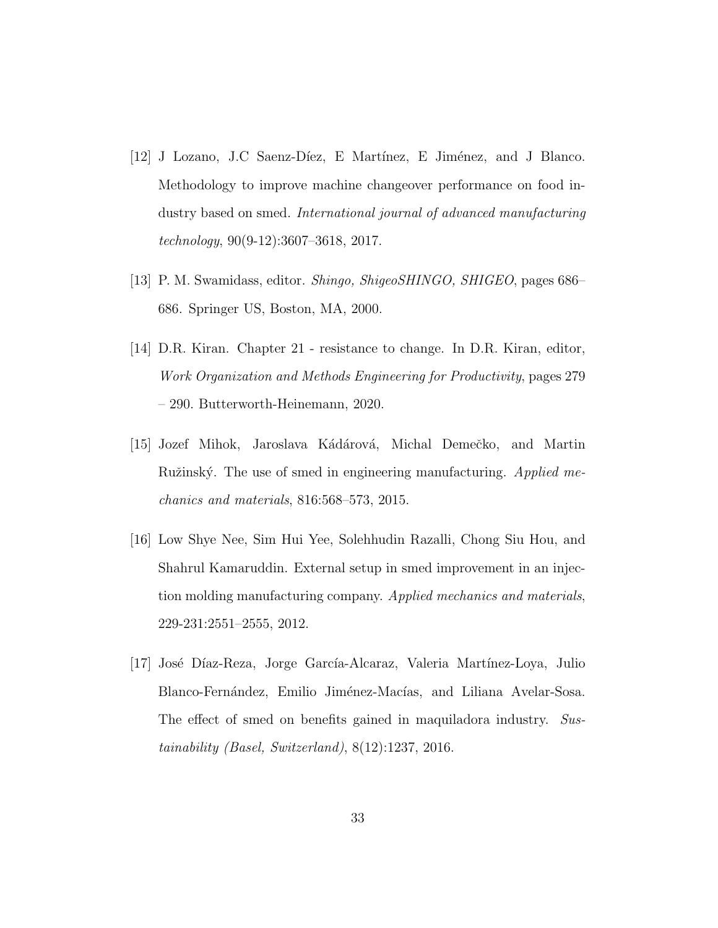- $[12]$  J Lozano, J.C Saenz-Díez, E Martínez, E Jiménez, and J Blanco. Methodology to improve machine changeover performance on food industry based on smed. International journal of advanced manufacturing technology, 90(9-12):3607–3618, 2017.
- [13] P. M. Swamidass, editor. Shingo, ShigeoSHINGO, SHIGEO, pages 686– 686. Springer US, Boston, MA, 2000.
- [14] D.R. Kiran. Chapter 21 resistance to change. In D.R. Kiran, editor, Work Organization and Methods Engineering for Productivity, pages 279 – 290. Butterworth-Heinemann, 2020.
- [15] Jozef Mihok, Jaroslava Kádárová, Michal Demečko, and Martin Ružinský. The use of smed in engineering manufacturing. Applied mechanics and materials, 816:568–573, 2015.
- [16] Low Shye Nee, Sim Hui Yee, Solehhudin Razalli, Chong Siu Hou, and Shahrul Kamaruddin. External setup in smed improvement in an injection molding manufacturing company. Applied mechanics and materials, 229-231:2551–2555, 2012.
- [17] José Díaz-Reza, Jorge García-Alcaraz, Valeria Martínez-Loya, Julio Blanco-Fernández, Emilio Jiménez-Macías, and Liliana Avelar-Sosa. The effect of smed on benefits gained in maquiladora industry. Sustainability (Basel, Switzerland), 8(12):1237, 2016.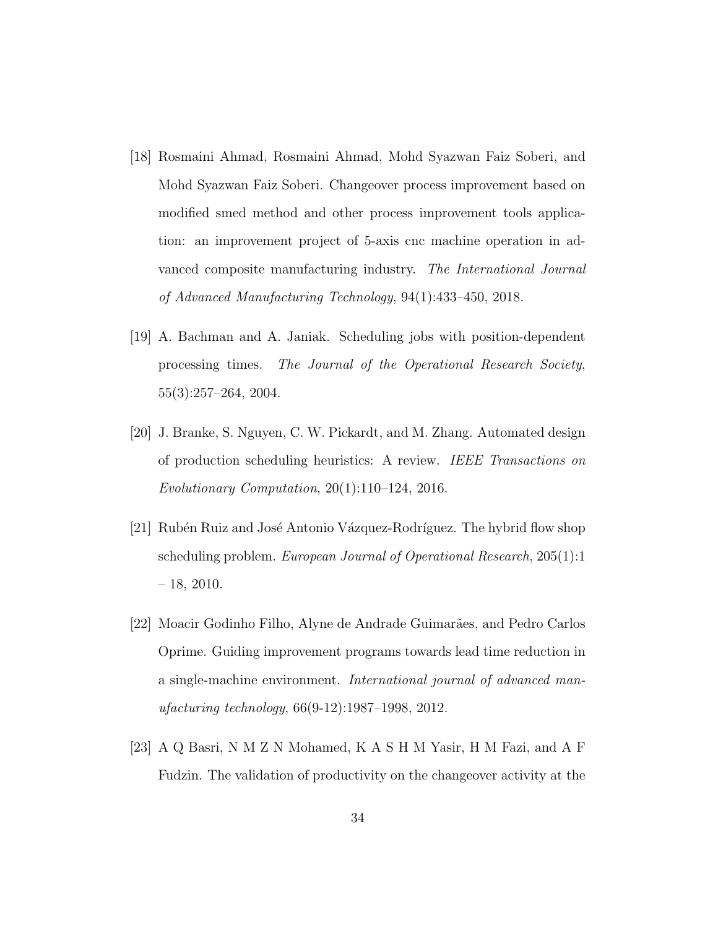- [18] Rosmaini Ahmad, Rosmaini Ahmad, Mohd Syazwan Faiz Soberi, and Mohd Syazwan Faiz Soberi. Changeover process improvement based on modified smed method and other process improvement tools application: an improvement project of 5-axis cnc machine operation in advanced composite manufacturing industry. The International Journal of Advanced Manufacturing Technology, 94(1):433–450, 2018.
- [19] A. Bachman and A. Janiak. Scheduling jobs with position-dependent processing times. The Journal of the Operational Research Society, 55(3):257–264, 2004.
- [20] J. Branke, S. Nguyen, C. W. Pickardt, and M. Zhang. Automated design of production scheduling heuristics: A review. IEEE Transactions on Evolutionary Computation, 20(1):110–124, 2016.
- [21] Rubén Ruiz and José Antonio Vázquez-Rodríguez. The hybrid flow shop scheduling problem. European Journal of Operational Research, 205(1):1  $-18$ , 2010.
- [22] Moacir Godinho Filho, Alyne de Andrade Guimarães, and Pedro Carlos Oprime. Guiding improvement programs towards lead time reduction in a single-machine environment. International journal of advanced manufacturing technology, 66(9-12):1987–1998, 2012.
- [23] A Q Basri, N M Z N Mohamed, K A S H M Yasir, H M Fazi, and A F Fudzin. The validation of productivity on the changeover activity at the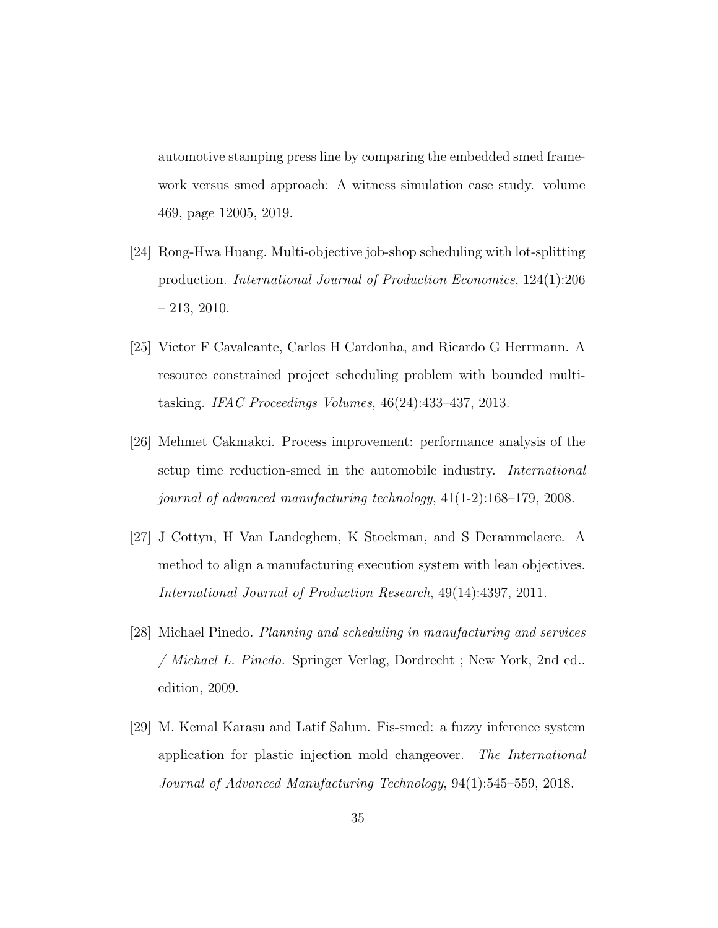automotive stamping press line by comparing the embedded smed framework versus smed approach: A witness simulation case study. volume 469, page 12005, 2019.

- [24] Rong-Hwa Huang. Multi-objective job-shop scheduling with lot-splitting production. International Journal of Production Economics, 124(1):206 – 213, 2010.
- [25] Victor F Cavalcante, Carlos H Cardonha, and Ricardo G Herrmann. A resource constrained project scheduling problem with bounded multitasking. IFAC Proceedings Volumes, 46(24):433–437, 2013.
- [26] Mehmet Cakmakci. Process improvement: performance analysis of the setup time reduction-smed in the automobile industry. International journal of advanced manufacturing technology, 41(1-2):168–179, 2008.
- [27] J Cottyn, H Van Landeghem, K Stockman, and S Derammelaere. A method to align a manufacturing execution system with lean objectives. International Journal of Production Research, 49(14):4397, 2011.
- [28] Michael Pinedo. Planning and scheduling in manufacturing and services / Michael L. Pinedo. Springer Verlag, Dordrecht ; New York, 2nd ed.. edition, 2009.
- [29] M. Kemal Karasu and Latif Salum. Fis-smed: a fuzzy inference system application for plastic injection mold changeover. The International Journal of Advanced Manufacturing Technology, 94(1):545–559, 2018.